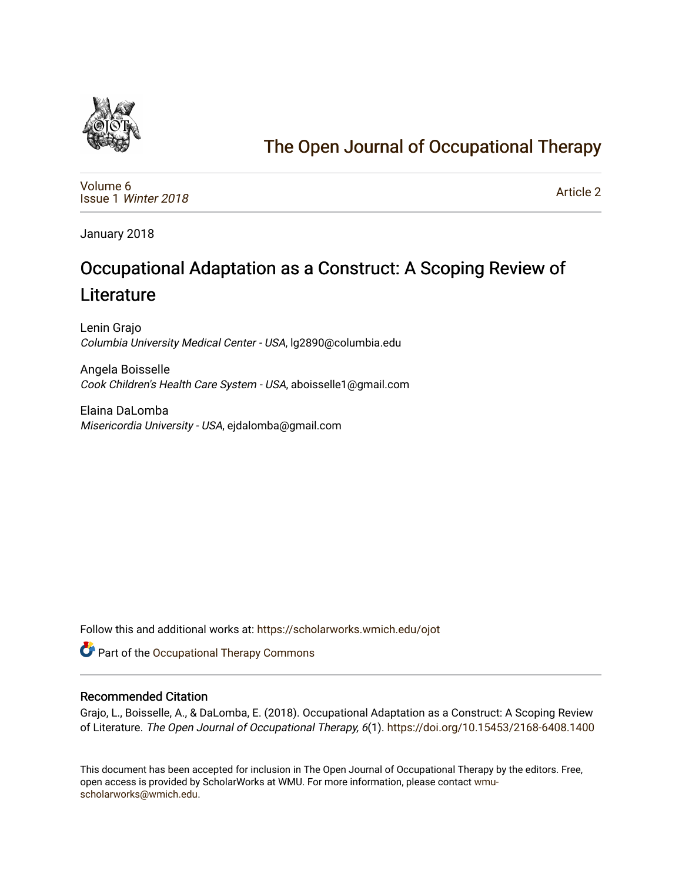

# [The Open Journal of Occupational Therapy](https://scholarworks.wmich.edu/ojot)

[Volume 6](https://scholarworks.wmich.edu/ojot/vol6) Issue 1 [Winter 2018](https://scholarworks.wmich.edu/ojot/vol6/iss1) 

[Article 2](https://scholarworks.wmich.edu/ojot/vol6/iss1/2) 

January 2018

# Occupational Adaptation as a Construct: A Scoping Review of **Literature**

Lenin Grajo Columbia University Medical Center - USA, lg2890@columbia.edu

Angela Boisselle Cook Children's Health Care System - USA, aboisselle1@gmail.com

Elaina DaLomba Misericordia University - USA, ejdalomba@gmail.com

Follow this and additional works at: [https://scholarworks.wmich.edu/ojot](https://scholarworks.wmich.edu/ojot?utm_source=scholarworks.wmich.edu%2Fojot%2Fvol6%2Fiss1%2F2&utm_medium=PDF&utm_campaign=PDFCoverPages)

**C** Part of the Occupational Therapy Commons

#### Recommended Citation

Grajo, L., Boisselle, A., & DaLomba, E. (2018). Occupational Adaptation as a Construct: A Scoping Review of Literature. The Open Journal of Occupational Therapy, 6(1). <https://doi.org/10.15453/2168-6408.1400>

This document has been accepted for inclusion in The Open Journal of Occupational Therapy by the editors. Free, open access is provided by ScholarWorks at WMU. For more information, please contact [wmu](mailto:wmu-scholarworks@wmich.edu)[scholarworks@wmich.edu.](mailto:wmu-scholarworks@wmich.edu)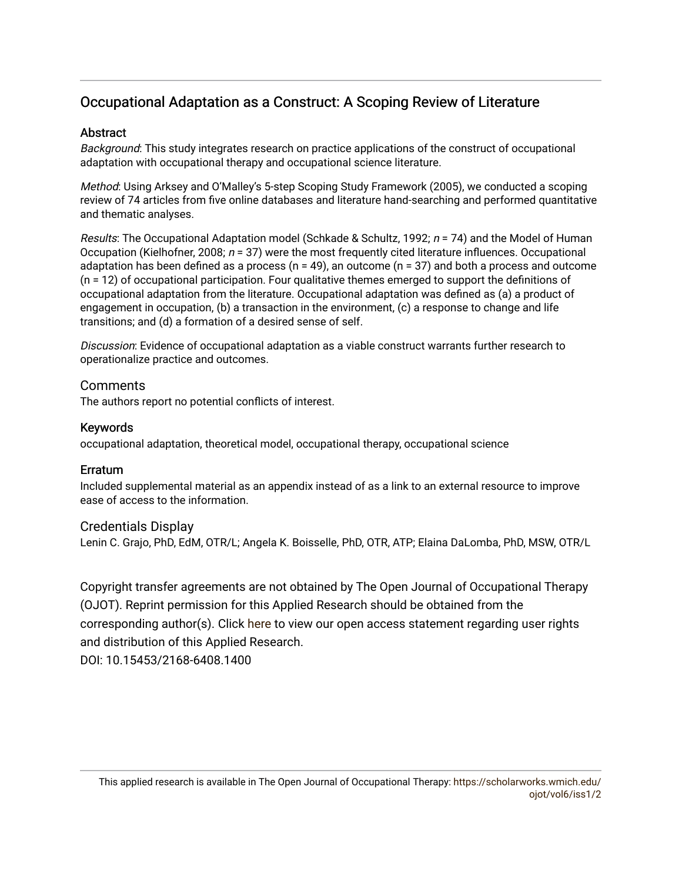# Occupational Adaptation as a Construct: A Scoping Review of Literature

# **Abstract**

Background: This study integrates research on practice applications of the construct of occupational adaptation with occupational therapy and occupational science literature.

Method: Using Arksey and O'Malley's 5-step Scoping Study Framework (2005), we conducted a scoping review of 74 articles from five online databases and literature hand-searching and performed quantitative and thematic analyses.

Results: The Occupational Adaptation model (Schkade & Schultz, 1992;  $n = 74$ ) and the Model of Human Occupation (Kielhofner, 2008;  $n = 37$ ) were the most frequently cited literature influences. Occupational adaptation has been defined as a process ( $n = 49$ ), an outcome ( $n = 37$ ) and both a process and outcome (n = 12) of occupational participation. Four qualitative themes emerged to support the definitions of occupational adaptation from the literature. Occupational adaptation was defined as (a) a product of engagement in occupation, (b) a transaction in the environment, (c) a response to change and life transitions; and (d) a formation of a desired sense of self.

Discussion: Evidence of occupational adaptation as a viable construct warrants further research to operationalize practice and outcomes.

# **Comments**

The authors report no potential conflicts of interest.

## Keywords

occupational adaptation, theoretical model, occupational therapy, occupational science

## Erratum

Included supplemental material as an appendix instead of as a link to an external resource to improve ease of access to the information.

## Credentials Display

Lenin C. Grajo, PhD, EdM, OTR/L; Angela K. Boisselle, PhD, OTR, ATP; Elaina DaLomba, PhD, MSW, OTR/L

Copyright transfer agreements are not obtained by The Open Journal of Occupational Therapy (OJOT). Reprint permission for this Applied Research should be obtained from the corresponding author(s). Click [here](https://scholarworks.wmich.edu/ojot/policies.html#rights) to view our open access statement regarding user rights and distribution of this Applied Research. DOI: 10.15453/2168-6408.1400

This applied research is available in The Open Journal of Occupational Therapy: [https://scholarworks.wmich.edu/](https://scholarworks.wmich.edu/ojot/vol6/iss1/2) [ojot/vol6/iss1/2](https://scholarworks.wmich.edu/ojot/vol6/iss1/2)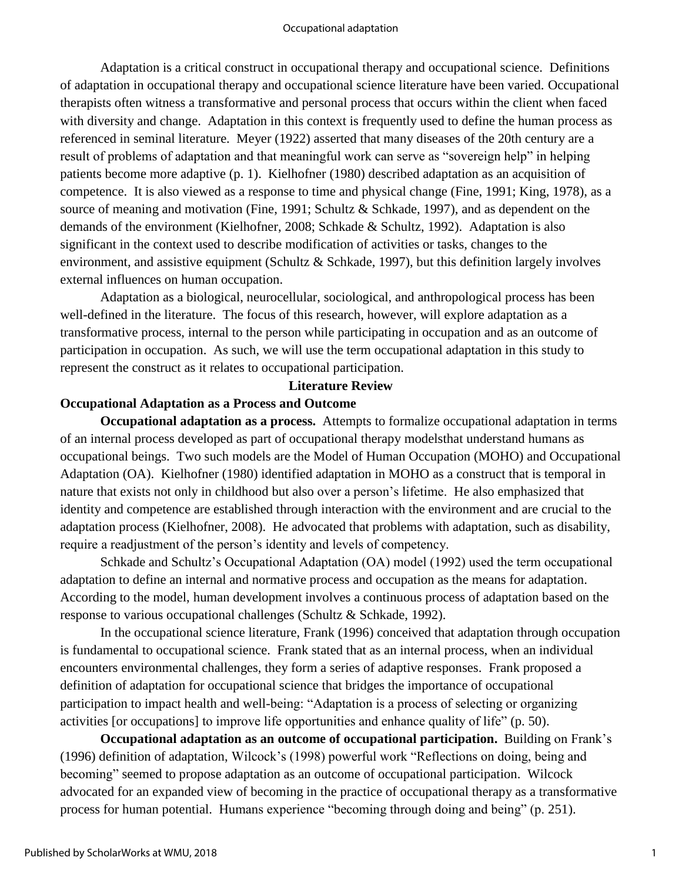Adaptation is a critical construct in occupational therapy and occupational science. Definitions of adaptation in occupational therapy and occupational science literature have been varied. Occupational therapists often witness a transformative and personal process that occurs within the client when faced with diversity and change. Adaptation in this context is frequently used to define the human process as referenced in seminal literature. Meyer (1922) asserted that many diseases of the 20th century are a result of problems of adaptation and that meaningful work can serve as "sovereign help" in helping patients become more adaptive (p. 1). Kielhofner (1980) described adaptation as an acquisition of competence. It is also viewed as a response to time and physical change (Fine, 1991; King, 1978), as a source of meaning and motivation (Fine, 1991; Schultz & Schkade, 1997), and as dependent on the demands of the environment (Kielhofner, 2008; Schkade & Schultz, 1992). Adaptation is also significant in the context used to describe modification of activities or tasks, changes to the environment, and assistive equipment (Schultz & Schkade, 1997), but this definition largely involves external influences on human occupation.

Adaptation as a biological, neurocellular, sociological, and anthropological process has been well-defined in the literature. The focus of this research, however, will explore adaptation as a transformative process, internal to the person while participating in occupation and as an outcome of participation in occupation. As such, we will use the term occupational adaptation in this study to represent the construct as it relates to occupational participation.

# **Literature Review**

# **Occupational Adaptation as a Process and Outcome**

**Occupational adaptation as a process.** Attempts to formalize occupational adaptation in terms of an internal process developed as part of occupational therapy modelsthat understand humans as occupational beings. Two such models are the Model of Human Occupation (MOHO) and Occupational Adaptation (OA). Kielhofner (1980) identified adaptation in MOHO as a construct that is temporal in nature that exists not only in childhood but also over a person's lifetime. He also emphasized that identity and competence are established through interaction with the environment and are crucial to the adaptation process (Kielhofner, 2008). He advocated that problems with adaptation, such as disability, require a readjustment of the person's identity and levels of competency.

Schkade and Schultz's Occupational Adaptation (OA) model (1992) used the term occupational adaptation to define an internal and normative process and occupation as the means for adaptation. According to the model, human development involves a continuous process of adaptation based on the response to various occupational challenges (Schultz & Schkade, 1992).

In the occupational science literature, Frank (1996) conceived that adaptation through occupation is fundamental to occupational science. Frank stated that as an internal process, when an individual encounters environmental challenges, they form a series of adaptive responses. Frank proposed a definition of adaptation for occupational science that bridges the importance of occupational participation to impact health and well-being: "Adaptation is a process of selecting or organizing activities [or occupations] to improve life opportunities and enhance quality of life" (p. 50).

**Occupational adaptation as an outcome of occupational participation.** Building on Frank's (1996) definition of adaptation, Wilcock's (1998) powerful work "Reflections on doing, being and becoming" seemed to propose adaptation as an outcome of occupational participation. Wilcock advocated for an expanded view of becoming in the practice of occupational therapy as a transformative process for human potential. Humans experience "becoming through doing and being" (p. 251).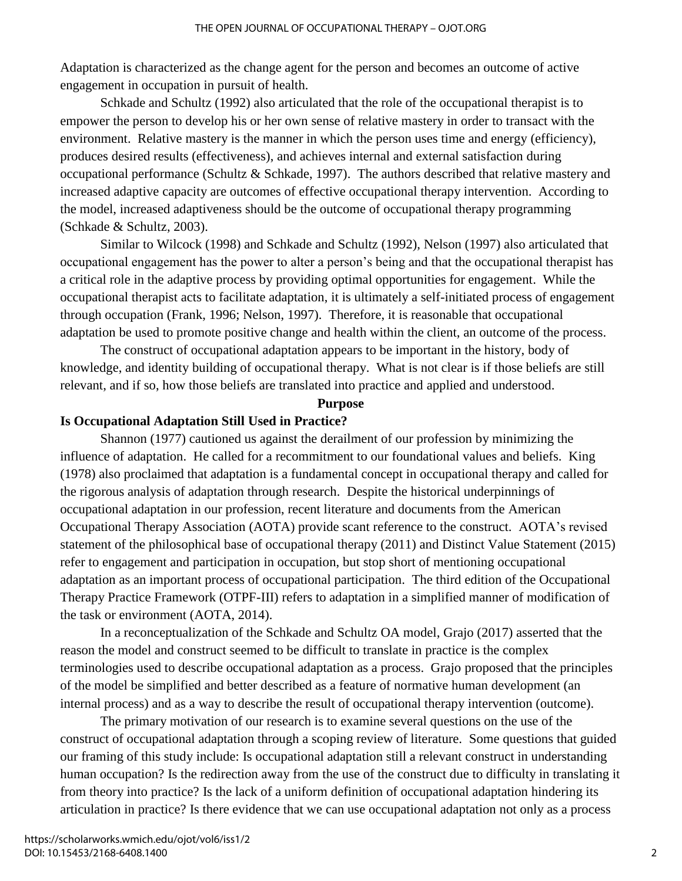Adaptation is characterized as the change agent for the person and becomes an outcome of active engagement in occupation in pursuit of health.

Schkade and Schultz (1992) also articulated that the role of the occupational therapist is to empower the person to develop his or her own sense of relative mastery in order to transact with the environment. Relative mastery is the manner in which the person uses time and energy (efficiency), produces desired results (effectiveness), and achieves internal and external satisfaction during occupational performance (Schultz & Schkade, 1997). The authors described that relative mastery and increased adaptive capacity are outcomes of effective occupational therapy intervention. According to the model, increased adaptiveness should be the outcome of occupational therapy programming (Schkade & Schultz, 2003).

Similar to Wilcock (1998) and Schkade and Schultz (1992), Nelson (1997) also articulated that occupational engagement has the power to alter a person's being and that the occupational therapist has a critical role in the adaptive process by providing optimal opportunities for engagement. While the occupational therapist acts to facilitate adaptation, it is ultimately a self-initiated process of engagement through occupation (Frank, 1996; Nelson, 1997). Therefore, it is reasonable that occupational adaptation be used to promote positive change and health within the client, an outcome of the process.

The construct of occupational adaptation appears to be important in the history, body of knowledge, and identity building of occupational therapy. What is not clear is if those beliefs are still relevant, and if so, how those beliefs are translated into practice and applied and understood.

## **Purpose**

#### **Is Occupational Adaptation Still Used in Practice?**

Shannon (1977) cautioned us against the derailment of our profession by minimizing the influence of adaptation. He called for a recommitment to our foundational values and beliefs. King (1978) also proclaimed that adaptation is a fundamental concept in occupational therapy and called for the rigorous analysis of adaptation through research. Despite the historical underpinnings of occupational adaptation in our profession, recent literature and documents from the American Occupational Therapy Association (AOTA) provide scant reference to the construct. AOTA's revised statement of the philosophical base of occupational therapy (2011) and Distinct Value Statement (2015) refer to engagement and participation in occupation, but stop short of mentioning occupational adaptation as an important process of occupational participation. The third edition of the Occupational Therapy Practice Framework (OTPF-III) refers to adaptation in a simplified manner of modification of the task or environment (AOTA, 2014).

In a reconceptualization of the Schkade and Schultz OA model, Grajo (2017) asserted that the reason the model and construct seemed to be difficult to translate in practice is the complex terminologies used to describe occupational adaptation as a process. Grajo proposed that the principles of the model be simplified and better described as a feature of normative human development (an internal process) and as a way to describe the result of occupational therapy intervention (outcome).

The primary motivation of our research is to examine several questions on the use of the construct of occupational adaptation through a scoping review of literature. Some questions that guided our framing of this study include: Is occupational adaptation still a relevant construct in understanding human occupation? Is the redirection away from the use of the construct due to difficulty in translating it from theory into practice? Is the lack of a uniform definition of occupational adaptation hindering its articulation in practice? Is there evidence that we can use occupational adaptation not only as a process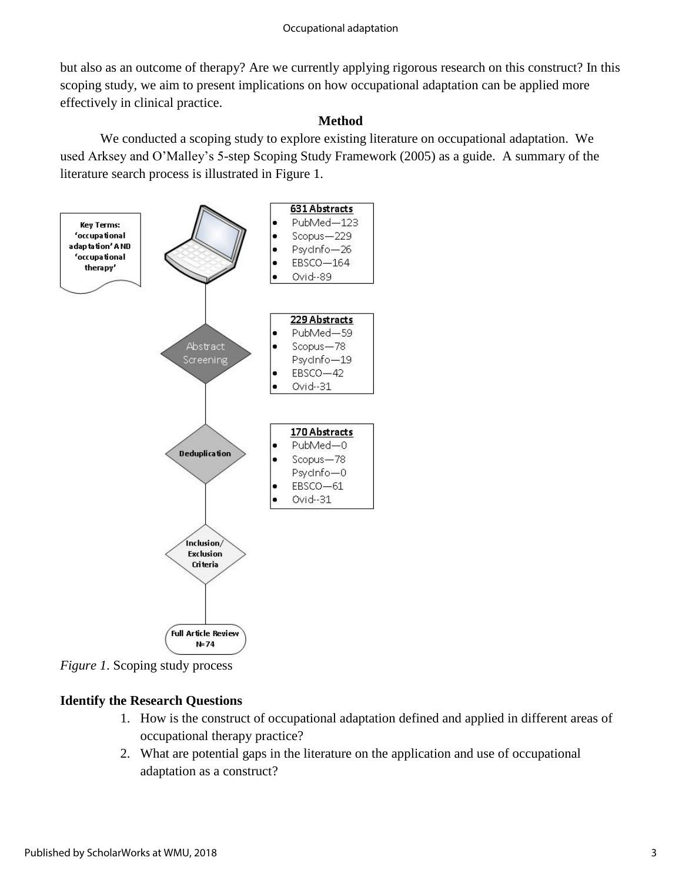but also as an outcome of therapy? Are we currently applying rigorous research on this construct? In this scoping study, we aim to present implications on how occupational adaptation can be applied more effectively in clinical practice.

# **Method**

We conducted a scoping study to explore existing literature on occupational adaptation. We used Arksey and O'Malley's 5-step Scoping Study Framework (2005) as a guide. A summary of the literature search process is illustrated in Figure 1.



*Figure 1*. Scoping study process

# **Identify the Research Questions**

- 1. How is the construct of occupational adaptation defined and applied in different areas of occupational therapy practice?
- 2. What are potential gaps in the literature on the application and use of occupational adaptation as a construct?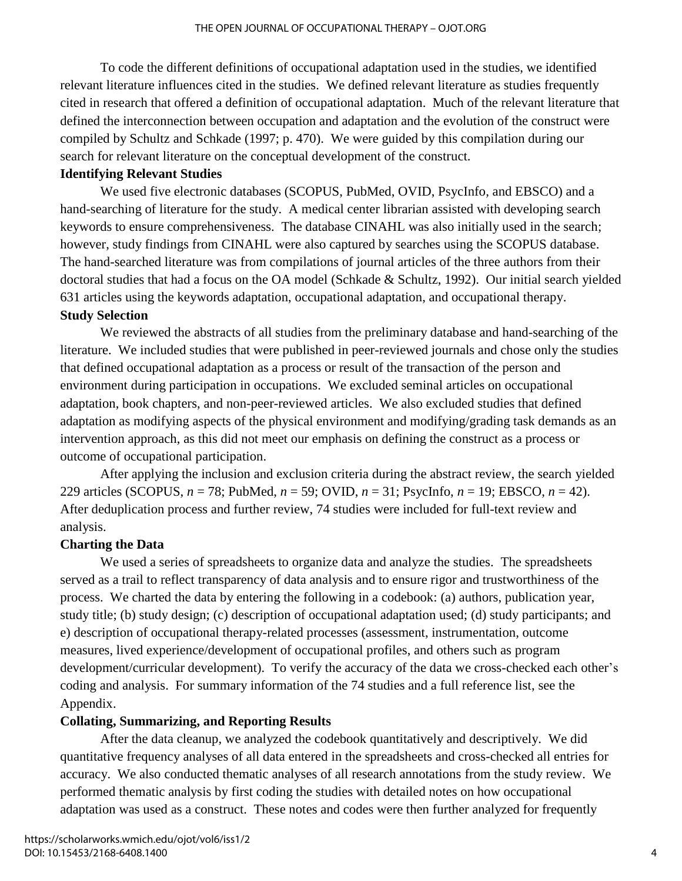To code the different definitions of occupational adaptation used in the studies, we identified relevant literature influences cited in the studies. We defined relevant literature as studies frequently cited in research that offered a definition of occupational adaptation. Much of the relevant literature that defined the interconnection between occupation and adaptation and the evolution of the construct were compiled by Schultz and Schkade (1997; p. 470). We were guided by this compilation during our search for relevant literature on the conceptual development of the construct.

# **Identifying Relevant Studies**

We used five electronic databases (SCOPUS, PubMed, OVID, PsycInfo, and EBSCO) and a hand-searching of literature for the study. A medical center librarian assisted with developing search keywords to ensure comprehensiveness. The database CINAHL was also initially used in the search; however, study findings from CINAHL were also captured by searches using the SCOPUS database. The hand-searched literature was from compilations of journal articles of the three authors from their doctoral studies that had a focus on the OA model (Schkade & Schultz, 1992). Our initial search yielded 631 articles using the keywords adaptation, occupational adaptation, and occupational therapy.

# **Study Selection**

We reviewed the abstracts of all studies from the preliminary database and hand-searching of the literature. We included studies that were published in peer-reviewed journals and chose only the studies that defined occupational adaptation as a process or result of the transaction of the person and environment during participation in occupations. We excluded seminal articles on occupational adaptation, book chapters, and non-peer-reviewed articles. We also excluded studies that defined adaptation as modifying aspects of the physical environment and modifying/grading task demands as an intervention approach, as this did not meet our emphasis on defining the construct as a process or outcome of occupational participation.

After applying the inclusion and exclusion criteria during the abstract review, the search yielded 229 articles (SCOPUS, *n* = 78; PubMed, *n* = 59; OVID, *n* = 31; PsycInfo, *n* = 19; EBSCO, *n* = 42). After deduplication process and further review, 74 studies were included for full-text review and analysis.

# **Charting the Data**

We used a series of spreadsheets to organize data and analyze the studies. The spreadsheets served as a trail to reflect transparency of data analysis and to ensure rigor and trustworthiness of the process. We charted the data by entering the following in a codebook: (a) authors, publication year, study title; (b) study design; (c) description of occupational adaptation used; (d) study participants; and e) description of occupational therapy-related processes (assessment, instrumentation, outcome measures, lived experience/development of occupational profiles, and others such as program development/curricular development). To verify the accuracy of the data we cross-checked each other's coding and analysis. For summary information of the 74 studies and a full reference list, see the Appendix.

# **Collating, Summarizing, and Reporting Results**

After the data cleanup, we analyzed the codebook quantitatively and descriptively. We did quantitative frequency analyses of all data entered in the spreadsheets and cross-checked all entries for accuracy. We also conducted thematic analyses of all research annotations from the study review. We performed thematic analysis by first coding the studies with detailed notes on how occupational adaptation was used as a construct. These notes and codes were then further analyzed for frequently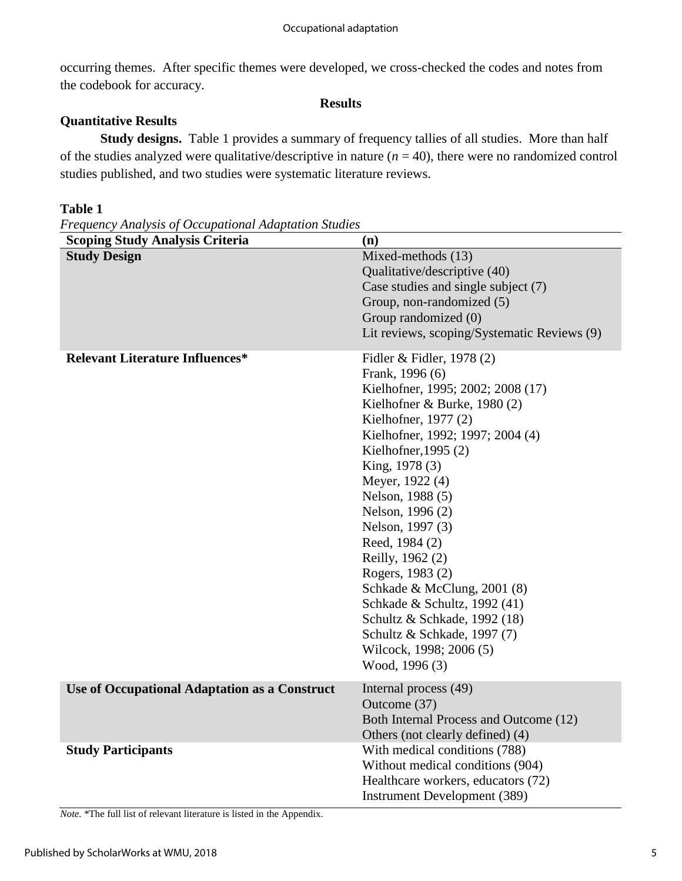occurring themes. After specific themes were developed, we cross-checked the codes and notes from the codebook for accuracy.

#### **Results**

# **Quantitative Results**

 **Study designs.** Table 1 provides a summary of frequency tallies of all studies. More than half of the studies analyzed were qualitative/descriptive in nature  $(n = 40)$ , there were no randomized control studies published, and two studies were systematic literature reviews.

## **Table 1**

*Frequency Analysis of Occupational Adaptation Studies*

| e requency rinuryous of occupanonum riumpianon onnum<br><b>Scoping Study Analysis Criteria</b> | (n)                                                                                                                                                                                                                                                                                                                                                                                                                                                                                                                                            |
|------------------------------------------------------------------------------------------------|------------------------------------------------------------------------------------------------------------------------------------------------------------------------------------------------------------------------------------------------------------------------------------------------------------------------------------------------------------------------------------------------------------------------------------------------------------------------------------------------------------------------------------------------|
| <b>Study Design</b>                                                                            | Mixed-methods (13)<br>Qualitative/descriptive (40)<br>Case studies and single subject (7)<br>Group, non-randomized (5)<br>Group randomized (0)<br>Lit reviews, scoping/Systematic Reviews (9)                                                                                                                                                                                                                                                                                                                                                  |
| <b>Relevant Literature Influences*</b>                                                         | Fidler & Fidler, 1978 (2)<br>Frank, 1996 (6)<br>Kielhofner, 1995; 2002; 2008 (17)<br>Kielhofner & Burke, $1980(2)$<br>Kielhofner, 1977 (2)<br>Kielhofner, 1992; 1997; 2004 (4)<br>Kielhofner, 1995 $(2)$<br>King, 1978 (3)<br>Meyer, 1922 (4)<br>Nelson, 1988 (5)<br>Nelson, 1996 (2)<br>Nelson, 1997 (3)<br>Reed, 1984 (2)<br>Reilly, 1962 (2)<br>Rogers, 1983 (2)<br>Schkade & McClung, 2001 (8)<br>Schkade & Schultz, 1992 (41)<br>Schultz & Schkade, 1992 (18)<br>Schultz & Schkade, 1997 (7)<br>Wilcock, 1998; 2006 (5)<br>Wood, 1996 (3) |
| <b>Use of Occupational Adaptation as a Construct</b>                                           | Internal process (49)<br>Outcome (37)<br>Both Internal Process and Outcome (12)<br>Others (not clearly defined) (4)                                                                                                                                                                                                                                                                                                                                                                                                                            |
| <b>Study Participants</b>                                                                      | With medical conditions (788)<br>Without medical conditions (904)<br>Healthcare workers, educators (72)<br><b>Instrument Development (389)</b>                                                                                                                                                                                                                                                                                                                                                                                                 |

*Note.* \*The full list of relevant literature is listed in the Appendix.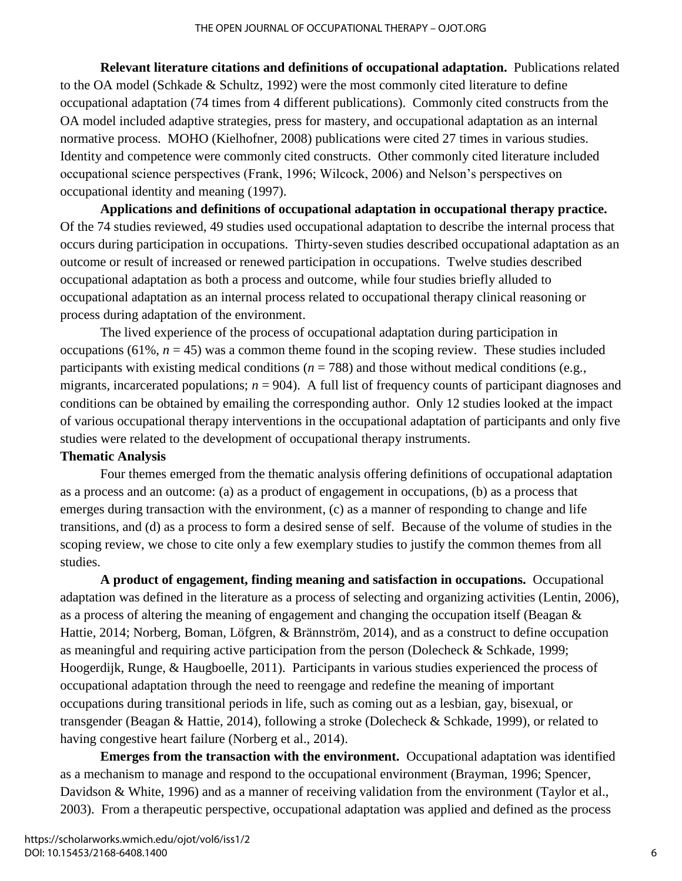**Relevant literature citations and definitions of occupational adaptation.** Publications related to the OA model (Schkade & Schultz, 1992) were the most commonly cited literature to define occupational adaptation (74 times from 4 different publications). Commonly cited constructs from the OA model included adaptive strategies, press for mastery, and occupational adaptation as an internal normative process. MOHO (Kielhofner, 2008) publications were cited 27 times in various studies. Identity and competence were commonly cited constructs. Other commonly cited literature included occupational science perspectives (Frank, 1996; Wilcock, 2006) and Nelson's perspectives on occupational identity and meaning (1997).

**Applications and definitions of occupational adaptation in occupational therapy practice.**  Of the 74 studies reviewed, 49 studies used occupational adaptation to describe the internal process that occurs during participation in occupations. Thirty-seven studies described occupational adaptation as an outcome or result of increased or renewed participation in occupations. Twelve studies described occupational adaptation as both a process and outcome, while four studies briefly alluded to occupational adaptation as an internal process related to occupational therapy clinical reasoning or process during adaptation of the environment.

The lived experience of the process of occupational adaptation during participation in occupations (61%,  $n = 45$ ) was a common theme found in the scoping review. These studies included participants with existing medical conditions  $(n = 788)$  and those without medical conditions (e.g., migrants, incarcerated populations;  $n = 904$ ). A full list of frequency counts of participant diagnoses and conditions can be obtained by emailing the corresponding author. Only 12 studies looked at the impact of various occupational therapy interventions in the occupational adaptation of participants and only five studies were related to the development of occupational therapy instruments.

# **Thematic Analysis**

Four themes emerged from the thematic analysis offering definitions of occupational adaptation as a process and an outcome: (a) as a product of engagement in occupations, (b) as a process that emerges during transaction with the environment, (c) as a manner of responding to change and life transitions, and (d) as a process to form a desired sense of self. Because of the volume of studies in the scoping review, we chose to cite only a few exemplary studies to justify the common themes from all studies.

**A product of engagement, finding meaning and satisfaction in occupations.** Occupational adaptation was defined in the literature as a process of selecting and organizing activities (Lentin, 2006), as a process of altering the meaning of engagement and changing the occupation itself (Beagan & Hattie, 2014; Norberg, Boman, Löfgren, & Brännström, 2014), and as a construct to define occupation as meaningful and requiring active participation from the person (Dolecheck & Schkade, 1999; Hoogerdijk, Runge, & Haugboelle, 2011). Participants in various studies experienced the process of occupational adaptation through the need to reengage and redefine the meaning of important occupations during transitional periods in life, such as coming out as a lesbian, gay, bisexual, or transgender (Beagan & Hattie, 2014), following a stroke (Dolecheck & Schkade, 1999), or related to having congestive heart failure (Norberg et al., 2014).

**Emerges from the transaction with the environment.** Occupational adaptation was identified as a mechanism to manage and respond to the occupational environment (Brayman, 1996; Spencer, Davidson & White, 1996) and as a manner of receiving validation from the environment (Taylor et al., 2003). From a therapeutic perspective, occupational adaptation was applied and defined as the process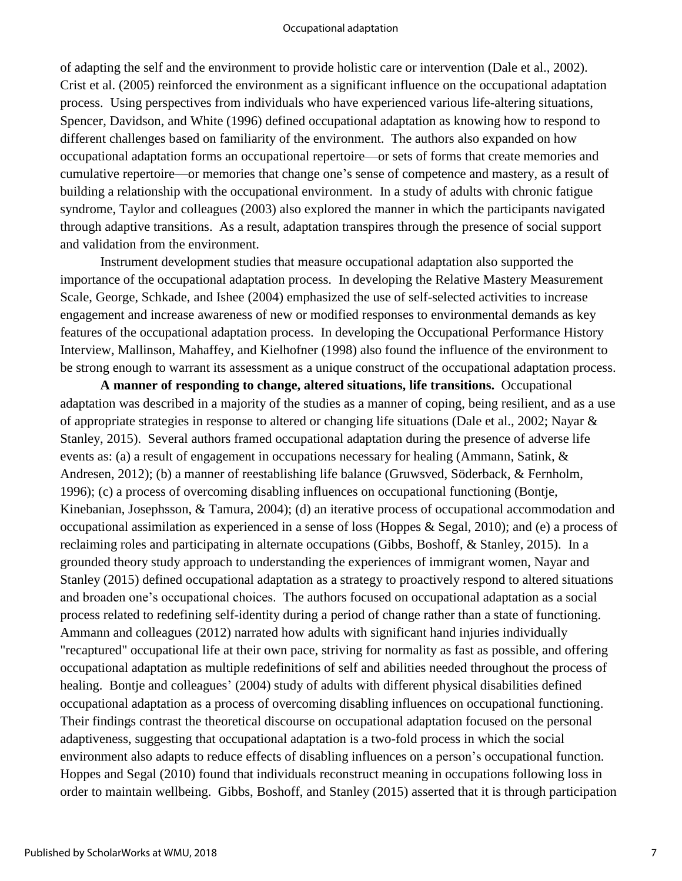of adapting the self and the environment to provide holistic care or intervention (Dale et al., 2002). Crist et al. (2005) reinforced the environment as a significant influence on the occupational adaptation process. Using perspectives from individuals who have experienced various life-altering situations, Spencer, Davidson, and White (1996) defined occupational adaptation as knowing how to respond to different challenges based on familiarity of the environment. The authors also expanded on how occupational adaptation forms an occupational repertoire—or sets of forms that create memories and cumulative repertoire—or memories that change one's sense of competence and mastery, as a result of building a relationship with the occupational environment. In a study of adults with chronic fatigue syndrome, Taylor and colleagues (2003) also explored the manner in which the participants navigated through adaptive transitions. As a result, adaptation transpires through the presence of social support and validation from the environment.

Instrument development studies that measure occupational adaptation also supported the importance of the occupational adaptation process. In developing the Relative Mastery Measurement Scale, George, Schkade, and Ishee (2004) emphasized the use of self-selected activities to increase engagement and increase awareness of new or modified responses to environmental demands as key features of the occupational adaptation process. In developing the Occupational Performance History Interview, Mallinson, Mahaffey, and Kielhofner (1998) also found the influence of the environment to be strong enough to warrant its assessment as a unique construct of the occupational adaptation process.

**A manner of responding to change, altered situations, life transitions.** Occupational adaptation was described in a majority of the studies as a manner of coping, being resilient, and as a use of appropriate strategies in response to altered or changing life situations (Dale et al., 2002; Nayar & Stanley, 2015). Several authors framed occupational adaptation during the presence of adverse life events as: (a) a result of engagement in occupations necessary for healing (Ammann, Satink, & Andresen, 2012); (b) a manner of reestablishing life balance (Gruwsved, Söderback, & Fernholm, 1996); (c) a process of overcoming disabling influences on occupational functioning (Bontje, Kinebanian, Josephsson, & Tamura, 2004); (d) an iterative process of occupational accommodation and occupational assimilation as experienced in a sense of loss (Hoppes & Segal, 2010); and (e) a process of reclaiming roles and participating in alternate occupations (Gibbs, Boshoff, & Stanley, 2015). In a grounded theory study approach to understanding the experiences of immigrant women, Nayar and Stanley (2015) defined occupational adaptation as a strategy to proactively respond to altered situations and broaden one's occupational choices. The authors focused on occupational adaptation as a social process related to redefining self-identity during a period of change rather than a state of functioning. Ammann and colleagues (2012) narrated how adults with significant hand injuries individually "recaptured" occupational life at their own pace, striving for normality as fast as possible, and offering occupational adaptation as multiple redefinitions of self and abilities needed throughout the process of healing. Bontje and colleagues' (2004) study of adults with different physical disabilities defined occupational adaptation as a process of overcoming disabling influences on occupational functioning. Their findings contrast the theoretical discourse on occupational adaptation focused on the personal adaptiveness, suggesting that occupational adaptation is a two-fold process in which the social environment also adapts to reduce effects of disabling influences on a person's occupational function. Hoppes and Segal (2010) found that individuals reconstruct meaning in occupations following loss in order to maintain wellbeing. Gibbs, Boshoff, and Stanley (2015) asserted that it is through participation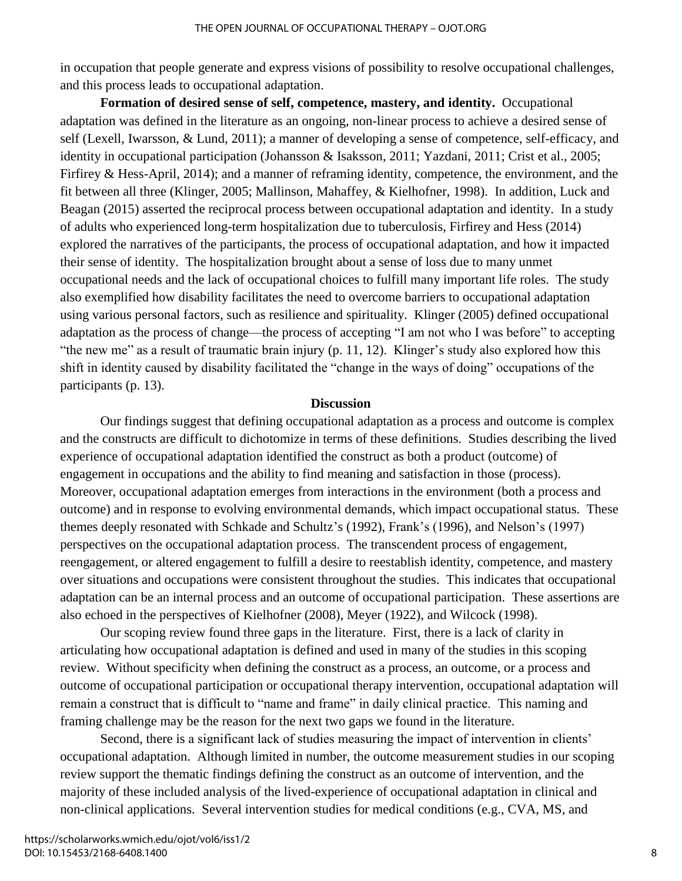in occupation that people generate and express visions of possibility to resolve occupational challenges, and this process leads to occupational adaptation.

**Formation of desired sense of self, competence, mastery, and identity.** Occupational adaptation was defined in the literature as an ongoing, non-linear process to achieve a desired sense of self (Lexell, Iwarsson, & Lund, 2011); a manner of developing a sense of competence, self-efficacy, and identity in occupational participation (Johansson & Isaksson, 2011; Yazdani, 2011; Crist et al., 2005; Firfirey & Hess-April, 2014); and a manner of reframing identity, competence, the environment, and the fit between all three (Klinger, 2005; Mallinson, Mahaffey, & Kielhofner, 1998). In addition, Luck and Beagan (2015) asserted the reciprocal process between occupational adaptation and identity. In a study of adults who experienced long-term hospitalization due to tuberculosis, Firfirey and Hess (2014) explored the narratives of the participants, the process of occupational adaptation, and how it impacted their sense of identity. The hospitalization brought about a sense of loss due to many unmet occupational needs and the lack of occupational choices to fulfill many important life roles. The study also exemplified how disability facilitates the need to overcome barriers to occupational adaptation using various personal factors, such as resilience and spirituality. Klinger (2005) defined occupational adaptation as the process of change—the process of accepting "I am not who I was before" to accepting "the new me" as a result of traumatic brain injury (p. 11, 12). Klinger's study also explored how this shift in identity caused by disability facilitated the "change in the ways of doing" occupations of the participants (p. 13).

# **Discussion**

 Our findings suggest that defining occupational adaptation as a process and outcome is complex and the constructs are difficult to dichotomize in terms of these definitions. Studies describing the lived experience of occupational adaptation identified the construct as both a product (outcome) of engagement in occupations and the ability to find meaning and satisfaction in those (process). Moreover, occupational adaptation emerges from interactions in the environment (both a process and outcome) and in response to evolving environmental demands, which impact occupational status. These themes deeply resonated with Schkade and Schultz's (1992), Frank's (1996), and Nelson's (1997) perspectives on the occupational adaptation process. The transcendent process of engagement, reengagement, or altered engagement to fulfill a desire to reestablish identity, competence, and mastery over situations and occupations were consistent throughout the studies. This indicates that occupational adaptation can be an internal process and an outcome of occupational participation. These assertions are also echoed in the perspectives of Kielhofner (2008), Meyer (1922), and Wilcock (1998).

Our scoping review found three gaps in the literature. First, there is a lack of clarity in articulating how occupational adaptation is defined and used in many of the studies in this scoping review. Without specificity when defining the construct as a process, an outcome, or a process and outcome of occupational participation or occupational therapy intervention, occupational adaptation will remain a construct that is difficult to "name and frame" in daily clinical practice. This naming and framing challenge may be the reason for the next two gaps we found in the literature.

Second, there is a significant lack of studies measuring the impact of intervention in clients' occupational adaptation. Although limited in number, the outcome measurement studies in our scoping review support the thematic findings defining the construct as an outcome of intervention, and the majority of these included analysis of the lived-experience of occupational adaptation in clinical and non-clinical applications. Several intervention studies for medical conditions (e.g., CVA, MS, and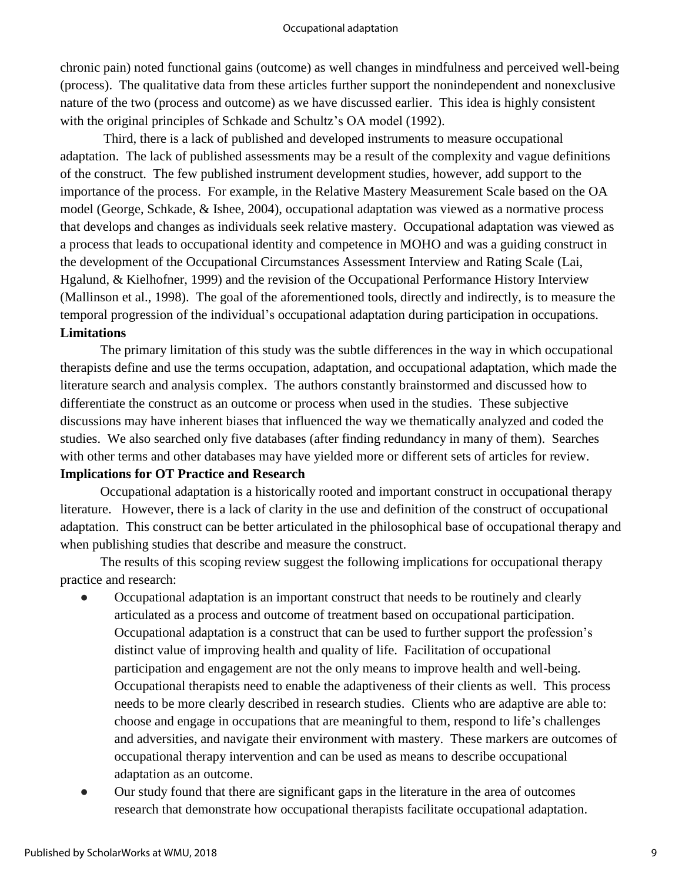chronic pain) noted functional gains (outcome) as well changes in mindfulness and perceived well-being (process). The qualitative data from these articles further support the nonindependent and nonexclusive nature of the two (process and outcome) as we have discussed earlier. This idea is highly consistent with the original principles of Schkade and Schultz's OA model (1992).

Third, there is a lack of published and developed instruments to measure occupational adaptation. The lack of published assessments may be a result of the complexity and vague definitions of the construct. The few published instrument development studies, however, add support to the importance of the process. For example, in the Relative Mastery Measurement Scale based on the OA model (George, Schkade, & Ishee, 2004), occupational adaptation was viewed as a normative process that develops and changes as individuals seek relative mastery. Occupational adaptation was viewed as a process that leads to occupational identity and competence in MOHO and was a guiding construct in the development of the Occupational Circumstances Assessment Interview and Rating Scale (Lai, Hgalund, & Kielhofner, 1999) and the revision of the Occupational Performance History Interview (Mallinson et al., 1998). The goal of the aforementioned tools, directly and indirectly, is to measure the temporal progression of the individual's occupational adaptation during participation in occupations. **Limitations**

The primary limitation of this study was the subtle differences in the way in which occupational therapists define and use the terms occupation, adaptation, and occupational adaptation, which made the literature search and analysis complex. The authors constantly brainstormed and discussed how to differentiate the construct as an outcome or process when used in the studies. These subjective discussions may have inherent biases that influenced the way we thematically analyzed and coded the studies. We also searched only five databases (after finding redundancy in many of them). Searches with other terms and other databases may have yielded more or different sets of articles for review.

# **Implications for OT Practice and Research**

 Occupational adaptation is a historically rooted and important construct in occupational therapy literature. However, there is a lack of clarity in the use and definition of the construct of occupational adaptation. This construct can be better articulated in the philosophical base of occupational therapy and when publishing studies that describe and measure the construct.

The results of this scoping review suggest the following implications for occupational therapy practice and research:

- Occupational adaptation is an important construct that needs to be routinely and clearly articulated as a process and outcome of treatment based on occupational participation. Occupational adaptation is a construct that can be used to further support the profession's distinct value of improving health and quality of life. Facilitation of occupational participation and engagement are not the only means to improve health and well-being. Occupational therapists need to enable the adaptiveness of their clients as well. This process needs to be more clearly described in research studies. Clients who are adaptive are able to: choose and engage in occupations that are meaningful to them, respond to life's challenges and adversities, and navigate their environment with mastery. These markers are outcomes of occupational therapy intervention and can be used as means to describe occupational adaptation as an outcome.
- Our study found that there are significant gaps in the literature in the area of outcomes research that demonstrate how occupational therapists facilitate occupational adaptation.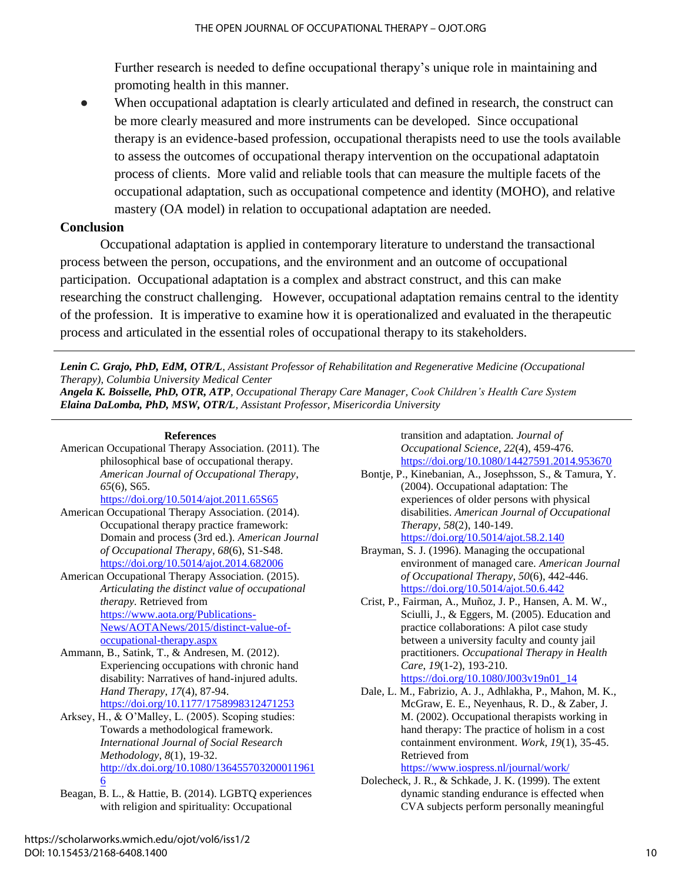Further research is needed to define occupational therapy's unique role in maintaining and promoting health in this manner.

When occupational adaptation is clearly articulated and defined in research, the construct can be more clearly measured and more instruments can be developed. Since occupational therapy is an evidence-based profession, occupational therapists need to use the tools available to assess the outcomes of occupational therapy intervention on the occupational adaptatoin process of clients. More valid and reliable tools that can measure the multiple facets of the occupational adaptation, such as occupational competence and identity (MOHO), and relative mastery (OA model) in relation to occupational adaptation are needed.

# **Conclusion**

Occupational adaptation is applied in contemporary literature to understand the transactional process between the person, occupations, and the environment and an outcome of occupational participation. Occupational adaptation is a complex and abstract construct, and this can make researching the construct challenging. However, occupational adaptation remains central to the identity of the profession. It is imperative to examine how it is operationalized and evaluated in the therapeutic process and articulated in the essential roles of occupational therapy to its stakeholders.

*Lenin C. Grajo, PhD, EdM, OTR/L, Assistant Professor of Rehabilitation and Regenerative Medicine (Occupational Therapy), Columbia University Medical Center*

*Angela K. Boisselle, PhD, OTR, ATP, Occupational Therapy Care Manager, Cook Children's Health Care System Elaina DaLomba, PhD, MSW, OTR/L, Assistant Professor, Misericordia University*

#### **References**

- American Occupational Therapy Association. (2011). The philosophical base of occupational therapy. *American Journal of Occupational Therapy*, *65*(6), S65. <https://doi.org/10.5014/ajot.2011.65S65>
- American Occupational Therapy Association. (2014). Occupational therapy practice framework: Domain and process (3rd ed.). *American Journal of Occupational Therapy*, *68*(6), S1-S48. <https://doi.org/10.5014/ajot.2014.682006>

American Occupational Therapy Association. (2015). *Articulating the distinct value of occupational therapy.* Retrieved from [https://www.aota.org/Publications-](https://www.aota.org/Publications-News/AOTANews/2015/distinct-value-of-occupational-therapy.aspx)[News/AOTANews/2015/distinct-value-of](https://www.aota.org/Publications-News/AOTANews/2015/distinct-value-of-occupational-therapy.aspx)[occupational-therapy.aspx](https://www.aota.org/Publications-News/AOTANews/2015/distinct-value-of-occupational-therapy.aspx)

Ammann, B., Satink, T., & Andresen, M. (2012). Experiencing occupations with chronic hand disability: Narratives of hand-injured adults. *Hand Therapy*, *17*(4), 87-94. <https://doi.org/10.1177/1758998312471253>

Arksey, H., & O'Malley, L. (2005). Scoping studies: Towards a methodological framework. *International Journal of Social Research Methodology*, *8*(1), 19-32. [http://dx.doi.org/10.1080/136455703200011961](http://dx.doi.org/10.1080/1364557032000119616) [6](http://dx.doi.org/10.1080/1364557032000119616)

Beagan, B. L., & Hattie, B. (2014). LGBTQ experiences with religion and spirituality: Occupational

transition and adaptation. *Journal of Occupational Science*, *22*(4), 459-476. <https://doi.org/10.1080/14427591.2014.953670>

- Bontje, P., Kinebanian, A., Josephsson, S., & Tamura, Y. (2004). Occupational adaptation: The experiences of older persons with physical disabilities. *American Journal of Occupational Therapy*, *58*(2), 140-149. <https://doi.org/10.5014/ajot.58.2.140>
- Brayman, S. J. (1996). Managing the occupational environment of managed care. *American Journal of Occupational Therapy*, *50*(6), 442-446. <https://doi.org/10.5014/ajot.50.6.442>
- Crist, P., Fairman, A., Muñoz, J. P., Hansen, A. M. W., Sciulli, J., & Eggers, M. (2005). Education and practice collaborations: A pilot case study between a university faculty and county jail practitioners. *Occupational Therapy in Health Care*, *19*(1-2), 193-210.

[https://doi.org/10.1080/J003v19n01\\_14](https://doi.org/10.1080/J003v19n01_14)

- Dale, L. M., Fabrizio, A. J., Adhlakha, P., Mahon, M. K., McGraw, E. E., Neyenhaus, R. D., & Zaber, J. M. (2002). Occupational therapists working in hand therapy: The practice of holism in a cost containment environment. *Work*, *19*(1), 35-45. Retrieved from <https://www.iospress.nl/journal/work/>
- Dolecheck, J. R., & Schkade, J. K. (1999). The extent dynamic standing endurance is effected when CVA subjects perform personally meaningful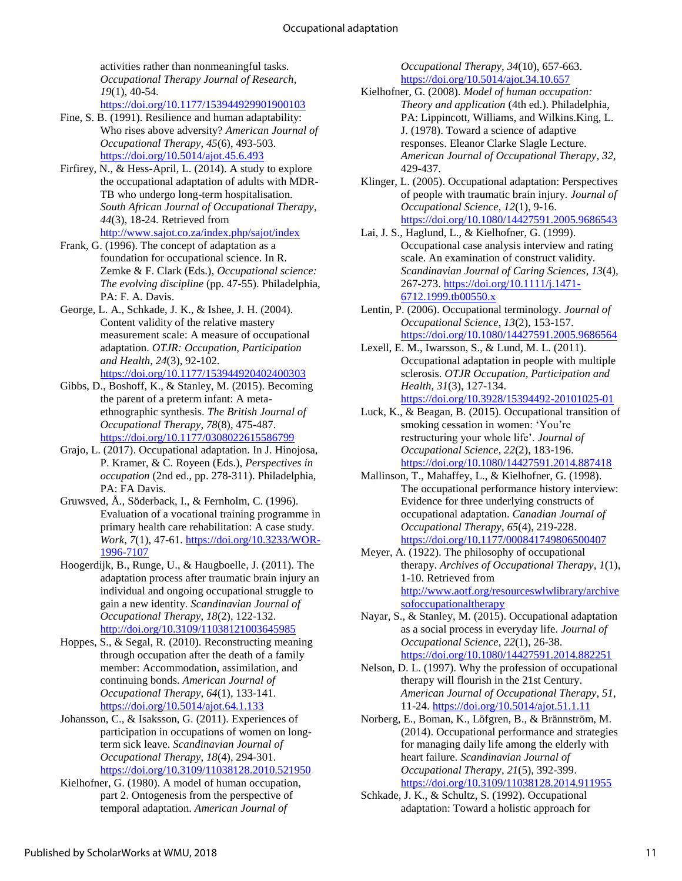activities rather than nonmeaningful tasks. *Occupational Therapy Journal of Research*, *19*(1), 40-54. <https://doi.org/10.1177/153944929901900103>

- Fine, S. B. (1991). Resilience and human adaptability: Who rises above adversity? *American Journal of Occupational Therapy*, *45*(6), 493-503. <https://doi.org/10.5014/ajot.45.6.493>
- Firfirey, N., & Hess-April, L. (2014). A study to explore the occupational adaptation of adults with MDR-TB who undergo long-term hospitalisation. *South African Journal of Occupational Therapy*, *44*(3), 18-24. Retrieved from <http://www.sajot.co.za/index.php/sajot/index>
- Frank, G. (1996). The concept of adaptation as a foundation for occupational science. In R. Zemke & F. Clark (Eds.), *Occupational science: The evolving discipline* (pp. 47-55). Philadelphia, PA: F. A. Davis.
- George, L. A., Schkade, J. K., & Ishee, J. H. (2004). Content validity of the relative mastery measurement scale: A measure of occupational adaptation. *OTJR: Occupation, Participation and Health*, *24*(3), 92-102. [https://doi.org/10.1177/153944920402400303](https://doi.org/10.1177%2F153944920402400303)
- Gibbs, D., Boshoff, K., & Stanley, M. (2015). Becoming the parent of a preterm infant: A metaethnographic synthesis. *The British Journal of Occupational Therapy*, *78*(8), 475-487. <https://doi.org/10.1177/0308022615586799>
- Grajo, L. (2017). Occupational adaptation. In J. Hinojosa, P. Kramer, & C. Royeen (Eds.), *Perspectives in occupation* (2nd ed., pp. 278-311). Philadelphia, PA: FA Davis.
- Gruwsved, Å., Söderback, I., & Fernholm, C. (1996). Evaluation of a vocational training programme in primary health care rehabilitation: A case study. *Work*, *7*(1), 47-61. [https://doi.org/10.3233/WOR-](https://doi.org/10.3233/WOR-1996-7107)[1996-7107](https://doi.org/10.3233/WOR-1996-7107)
- Hoogerdijk, B., Runge, U., & Haugboelle, J. (2011). The adaptation process after traumatic brain injury an individual and ongoing occupational struggle to gain a new identity. *Scandinavian Journal of Occupational Therapy*, *18*(2), 122-132. <http://doi.org/10.3109/11038121003645985>
- Hoppes, S., & Segal, R. (2010). Reconstructing meaning through occupation after the death of a family member: Accommodation, assimilation, and continuing bonds. *American Journal of Occupational Therapy*, *64*(1), 133-141. <https://doi.org/10.5014/ajot.64.1.133>
- Johansson, C., & Isaksson, G. (2011). Experiences of participation in occupations of women on longterm sick leave. *Scandinavian Journal of Occupational Therapy*, *18*(4), 294-301. <https://doi.org/10.3109/11038128.2010.521950>
- Kielhofner, G. (1980). A model of human occupation, part 2. Ontogenesis from the perspective of temporal adaptation. *American Journal of*

*Occupational Therapy*, *34*(10), 657-663. <https://doi.org/10.5014/ajot.34.10.657>

- Kielhofner, G. (2008). *Model of human occupation: Theory and application* (4th ed.). Philadelphia, PA: Lippincott, Williams, and Wilkins.King, L. J. (1978). Toward a science of adaptive responses. Eleanor Clarke Slagle Lecture. *American Journal of Occupational Therapy*, *32*, 429-437.
- Klinger, L. (2005). Occupational adaptation: Perspectives of people with traumatic brain injury. *Journal of Occupational Science*, *12*(1), 9-16. <https://doi.org/10.1080/14427591.2005.9686543>
- Lai, J. S., Haglund, L., & Kielhofner, G. (1999). Occupational case analysis interview and rating scale. An examination of construct validity. *Scandinavian Journal of Caring Sciences*, *13*(4), 267-273[. https://doi.org/10.1111/j.1471-](https://doi.org/10.1111/j.1471-6712.1999.tb00550.x) [6712.1999.tb00550.x](https://doi.org/10.1111/j.1471-6712.1999.tb00550.x)
- Lentin, P. (2006). Occupational terminology. *Journal of Occupational Science*, *13*(2), 153-157. <https://doi.org/10.1080/14427591.2005.9686564>
- Lexell, E. M., Iwarsson, S., & Lund, M. L. (2011). Occupational adaptation in people with multiple sclerosis. *OTJR Occupation, Participation and Health*, *31*(3), 127-134. <https://doi.org/10.3928/15394492-20101025-01>
- Luck, K., & Beagan, B. (2015). Occupational transition of smoking cessation in women: 'You're restructuring your whole life'. *Journal of Occupational Science*, *22*(2), 183-196. <https://doi.org/10.1080/14427591.2014.887418>
- Mallinson, T., Mahaffey, L., & Kielhofner, G. (1998). The occupational performance history interview: Evidence for three underlying constructs of occupational adaptation. *Canadian Journal of Occupational Therapy*, *65*(4), 219-228. <https://doi.org/10.1177/000841749806500407>
- Meyer, A. (1922). The philosophy of occupational therapy. *Archives of Occupational Therapy*, *1*(1), 1-10. Retrieved from [http://www.aotf.org/resourceswlwlibrary/archive](http://www.aotf.org/resourceswlwlibrary/archivesofoccupationaltherapy) [sofoccupationaltherapy](http://www.aotf.org/resourceswlwlibrary/archivesofoccupationaltherapy)
- Nayar, S., & Stanley, M. (2015). Occupational adaptation as a social process in everyday life. *Journal of Occupational Science*, *22*(1), 26-38. <https://doi.org/10.1080/14427591.2014.882251>
- Nelson, D. L. (1997). Why the profession of occupational therapy will flourish in the 21st Century. *American Journal of Occupational Therapy*, *51*, 11-24.<https://doi.org/10.5014/ajot.51.1.11>
- Norberg, E., Boman, K., Löfgren, B., & Brännström, M. (2014). Occupational performance and strategies for managing daily life among the elderly with heart failure. *Scandinavian Journal of Occupational Therapy*, *21*(5), 392-399. <https://doi.org/10.3109/11038128.2014.911955>
- Schkade, J. K., & Schultz, S. (1992). Occupational adaptation: Toward a holistic approach for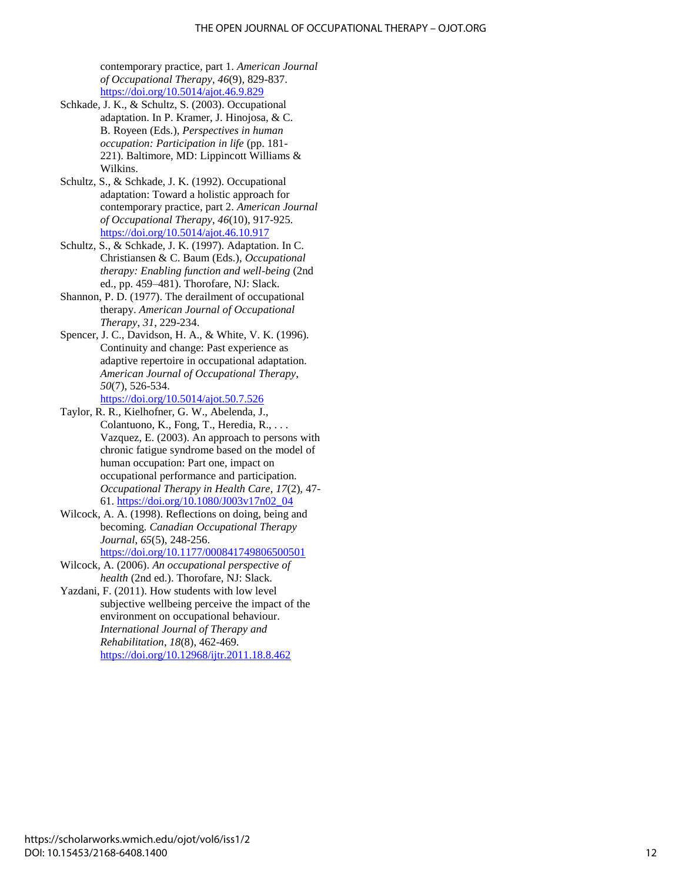contemporary practice, part 1. *American Journal of Occupational Therapy*, *46*(9), 829-837. <https://doi.org/10.5014/ajot.46.9.829>

- Schkade, J. K., & Schultz, S. (2003). Occupational adaptation. In P. Kramer, J. Hinojosa, & C. B. Royeen (Eds.), *Perspectives in human occupation: Participation in life* (pp. 181- 221). Baltimore, MD: Lippincott Williams & Wilkins.
- Schultz, S., & Schkade, J. K. (1992). Occupational adaptation: Toward a holistic approach for contemporary practice, part 2. *American Journal of Occupational Therapy*, *46*(10), 917-925. <https://doi.org/10.5014/ajot.46.10.917>
- Schultz, S., & Schkade, J. K. (1997). Adaptation. In C. Christiansen & C. Baum (Eds.), *Occupational therapy: Enabling function and well-being* (2nd ed., pp. 459–481). Thorofare, NJ: Slack.
- Shannon, P. D. (1977). The derailment of occupational therapy. *American Journal of Occupational Therapy*, *31*, 229-234.
- Spencer, J. C., Davidson, H. A., & White, V. K. (1996). Continuity and change: Past experience as adaptive repertoire in occupational adaptation. *American Journal of Occupational Therapy*, *50*(7), 526-534.

<https://doi.org/10.5014/ajot.50.7.526>

- Taylor, R. R., Kielhofner, G. W., Abelenda, J., Colantuono, K., Fong, T., Heredia, R., . . . Vazquez, E. (2003). An approach to persons with chronic fatigue syndrome based on the model of human occupation: Part one, impact on occupational performance and participation. *Occupational Therapy in Health Care*, *17*(2), 47- 61. [https://doi.org/10.1080/J003v17n02\\_04](https://doi.org/10.1080/J003v17n02_04)
- Wilcock, A. A. (1998). Reflections on doing, being and becoming*. Canadian Occupational Therapy Journal*, *65*(5), 248-256.

<https://doi.org/10.1177/000841749806500501>

- Wilcock, A. (2006). *An occupational perspective of health* (2nd ed.). Thorofare, NJ: Slack.
- Yazdani, F. (2011). How students with low level subjective wellbeing perceive the impact of the environment on occupational behaviour. *International Journal of Therapy and Rehabilitation*, *18*(8), 462-469. <https://doi.org/10.12968/ijtr.2011.18.8.462>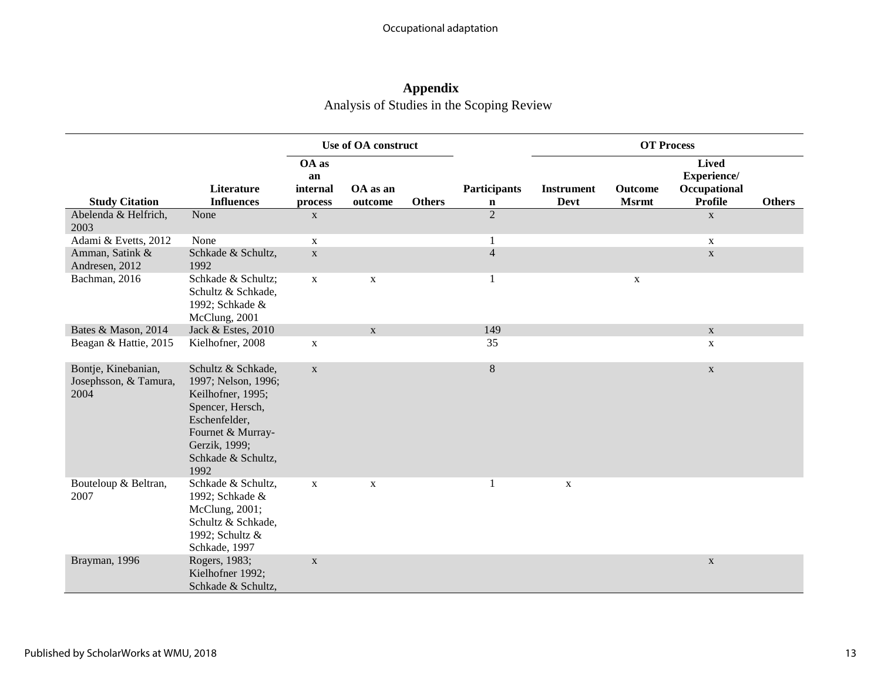# **Appendix**

Analysis of Studies in the Scoping Review

|                                                      |                                                                                                                                                                         | <b>Use of OA construct</b>         |                     |               |                                    |                                  | <b>OT Process</b>              |                                                               |               |
|------------------------------------------------------|-------------------------------------------------------------------------------------------------------------------------------------------------------------------------|------------------------------------|---------------------|---------------|------------------------------------|----------------------------------|--------------------------------|---------------------------------------------------------------|---------------|
| <b>Study Citation</b>                                | Literature<br><b>Influences</b>                                                                                                                                         | OA as<br>an<br>internal<br>process | OA as an<br>outcome | <b>Others</b> | <b>Participants</b><br>$\mathbf n$ | <b>Instrument</b><br><b>Devt</b> | <b>Outcome</b><br><b>Msrmt</b> | <b>Lived</b><br>Experience/<br>Occupational<br><b>Profile</b> | <b>Others</b> |
| Abelenda & Helfrich,<br>2003                         | None                                                                                                                                                                    | $\mathbf X$                        |                     |               | $\overline{2}$                     |                                  |                                | $\mathbf{X}$                                                  |               |
| Adami & Evetts, 2012                                 | None                                                                                                                                                                    | $\mathbf X$                        |                     |               |                                    |                                  |                                | $\mathbf{X}$                                                  |               |
| Amman, Satink &<br>Andresen, 2012                    | Schkade & Schultz,<br>1992                                                                                                                                              | $\mathbf X$                        |                     |               | $\overline{4}$                     |                                  |                                | $\mathbf X$                                                   |               |
| Bachman, 2016                                        | Schkade & Schultz;<br>Schultz & Schkade,<br>1992; Schkade &<br>McClung, 2001                                                                                            | $\mathbf X$                        | $\mathbf X$         |               |                                    |                                  | $\mathbf X$                    |                                                               |               |
| Bates & Mason, 2014                                  | Jack & Estes, 2010                                                                                                                                                      |                                    | X                   |               | 149                                |                                  |                                | $\mathbf{X}$                                                  |               |
| Beagan & Hattie, 2015                                | Kielhofner, 2008                                                                                                                                                        | X                                  |                     |               | 35                                 |                                  |                                | $\mathbf{X}$                                                  |               |
| Bontje, Kinebanian,<br>Josephsson, & Tamura,<br>2004 | Schultz & Schkade,<br>1997; Nelson, 1996;<br>Keilhofner, 1995;<br>Spencer, Hersch,<br>Eschenfelder,<br>Fournet & Murray-<br>Gerzik, 1999;<br>Schkade & Schultz,<br>1992 | $\mathbf X$                        |                     |               | $8\,$                              |                                  |                                | $\mathbf X$                                                   |               |
| Bouteloup & Beltran,<br>2007                         | Schkade & Schultz,<br>1992; Schkade &<br>McClung, 2001;<br>Schultz & Schkade,<br>1992; Schultz &<br>Schkade, 1997                                                       | $\mathbf X$                        | $\mathbf X$         |               |                                    | X                                |                                |                                                               |               |
| Brayman, 1996                                        | Rogers, 1983;<br>Kielhofner 1992;<br>Schkade & Schultz,                                                                                                                 | $\mathbf X$                        |                     |               |                                    |                                  |                                | $\mathbf X$                                                   |               |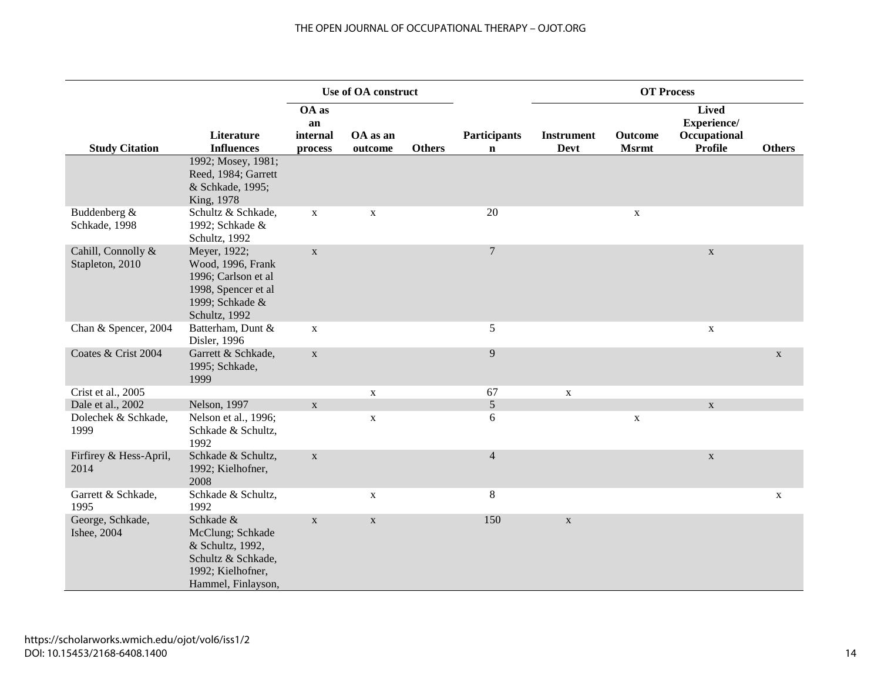### THE OPEN JOURNAL OF OCCUPATIONAL THERAPY – OJOT.ORG

|                                       |                                                                                                                     |                                    | Use of OA construct |               |                                    |                                  | <b>OT Process</b>       |                                                               |               |
|---------------------------------------|---------------------------------------------------------------------------------------------------------------------|------------------------------------|---------------------|---------------|------------------------------------|----------------------------------|-------------------------|---------------------------------------------------------------|---------------|
| <b>Study Citation</b>                 | Literature<br><b>Influences</b>                                                                                     | OA as<br>an<br>internal<br>process | OA as an<br>outcome | <b>Others</b> | <b>Participants</b><br>$\mathbf n$ | <b>Instrument</b><br><b>Devt</b> | Outcome<br><b>Msrmt</b> | <b>Lived</b><br>Experience/<br>Occupational<br><b>Profile</b> | <b>Others</b> |
|                                       | 1992; Mosey, 1981;<br>Reed, 1984; Garrett<br>& Schkade, 1995;<br>King, 1978                                         |                                    |                     |               |                                    |                                  |                         |                                                               |               |
| Buddenberg &<br>Schkade, 1998         | Schultz & Schkade,<br>1992; Schkade &<br>Schultz, 1992                                                              | $\mathbf X$                        | $\mathbf X$         |               | 20                                 |                                  | $\mathbf X$             |                                                               |               |
| Cahill, Connolly &<br>Stapleton, 2010 | Meyer, 1922;<br>Wood, 1996, Frank<br>1996; Carlson et al<br>1998, Spencer et al<br>1999; Schkade &<br>Schultz, 1992 | $\mathbf X$                        |                     |               | $\overline{7}$                     |                                  |                         | $\mathbf X$                                                   |               |
| Chan & Spencer, 2004                  | Batterham, Dunt &<br>Disler, 1996                                                                                   | $\mathbf X$                        |                     |               | 5                                  |                                  |                         | $\mathbf X$                                                   |               |
| Coates & Crist 2004                   | Garrett & Schkade,<br>1995; Schkade,<br>1999                                                                        | $\mathbf X$                        |                     |               | 9                                  |                                  |                         |                                                               | $\mathbf X$   |
| Crist et al., 2005                    |                                                                                                                     |                                    | $\mathbf X$         |               | 67                                 | $\mathbf X$                      |                         |                                                               |               |
| Dale et al., 2002                     | Nelson, 1997                                                                                                        | $\mathbf X$                        |                     |               | 5                                  |                                  |                         | $\mathbf{X}$                                                  |               |
| Dolechek & Schkade,<br>1999           | Nelson et al., 1996;<br>Schkade & Schultz,<br>1992                                                                  |                                    | $\mathbf X$         |               | $\sqrt{6}$                         |                                  | $\mathbf X$             |                                                               |               |
| Firfirey & Hess-April,<br>2014        | Schkade & Schultz,<br>1992; Kielhofner,<br>2008                                                                     | $\mathbf X$                        |                     |               | $\overline{4}$                     |                                  |                         | $\mathbf X$                                                   |               |
| Garrett & Schkade,<br>1995            | Schkade & Schultz,<br>1992                                                                                          |                                    | $\mathbf X$         |               | $8\,$                              |                                  |                         |                                                               | $\mathbf X$   |
| George, Schkade,<br>Ishee, 2004       | Schkade &<br>McClung; Schkade<br>& Schultz, 1992,<br>Schultz & Schkade,<br>1992; Kielhofner,<br>Hammel, Finlayson,  | $\mathbf X$                        | $\mathbf X$         |               | 150                                | $\mathbf X$                      |                         |                                                               |               |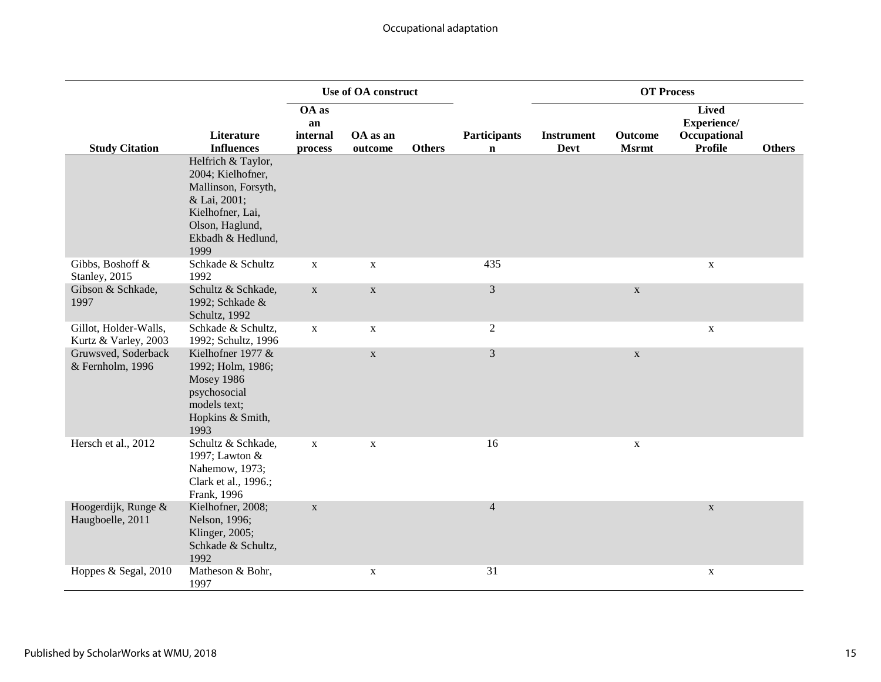|                                               |                                                                                                                                                    |                                    | Use of OA construct |               |                                    |                                  | <b>OT Process</b>              |                                                               |               |
|-----------------------------------------------|----------------------------------------------------------------------------------------------------------------------------------------------------|------------------------------------|---------------------|---------------|------------------------------------|----------------------------------|--------------------------------|---------------------------------------------------------------|---------------|
| <b>Study Citation</b>                         | Literature<br><b>Influences</b>                                                                                                                    | OA as<br>an<br>internal<br>process | OA as an<br>outcome | <b>Others</b> | <b>Participants</b><br>$\mathbf n$ | <b>Instrument</b><br><b>Devt</b> | <b>Outcome</b><br><b>Msrmt</b> | <b>Lived</b><br>Experience/<br>Occupational<br><b>Profile</b> | <b>Others</b> |
|                                               | Helfrich & Taylor,<br>2004; Kielhofner,<br>Mallinson, Forsyth,<br>& Lai, 2001;<br>Kielhofner, Lai,<br>Olson, Haglund,<br>Ekbadh & Hedlund,<br>1999 |                                    |                     |               |                                    |                                  |                                |                                                               |               |
| Gibbs, Boshoff &<br>Stanley, 2015             | Schkade & Schultz<br>1992                                                                                                                          | $\mathbf X$                        | $\mathbf X$         |               | 435                                |                                  |                                | $\mathbf X$                                                   |               |
| Gibson & Schkade,<br>1997                     | Schultz & Schkade,<br>1992; Schkade &<br>Schultz, 1992                                                                                             | $\mathbf X$                        | $\mathbf X$         |               | $\mathfrak{Z}$                     |                                  | $\mathbf X$                    |                                                               |               |
| Gillot, Holder-Walls,<br>Kurtz & Varley, 2003 | Schkade & Schultz,<br>1992; Schultz, 1996                                                                                                          | $\mathbf X$                        | $\mathbf X$         |               | $\overline{2}$                     |                                  |                                | $\mathbf X$                                                   |               |
| Gruwsved, Soderback<br>& Fernholm, 1996       | Kielhofner 1977 &<br>1992; Holm, 1986;<br><b>Mosey 1986</b><br>psychosocial<br>models text;<br>Hopkins & Smith,<br>1993                            |                                    | $\mathbf X$         |               | $\mathfrak{Z}$                     |                                  | $\mathbf{X}$                   |                                                               |               |
| Hersch et al., 2012                           | Schultz & Schkade,<br>1997; Lawton &<br>Nahemow, 1973;<br>Clark et al., 1996.;<br>Frank, 1996                                                      | $\mathbf X$                        | $\mathbf X$         |               | 16                                 |                                  | $\mathbf X$                    |                                                               |               |
| Hoogerdijk, Runge &<br>Haugboelle, 2011       | Kielhofner, 2008;<br>Nelson, 1996;<br>Klinger, 2005;<br>Schkade & Schultz,<br>1992                                                                 | $\mathbf X$                        |                     |               | $\overline{4}$                     |                                  |                                | $\mathbf{X}$                                                  |               |
| Hoppes & Segal, 2010                          | Matheson & Bohr,<br>1997                                                                                                                           |                                    | $\mathbf X$         |               | 31                                 |                                  |                                | X                                                             |               |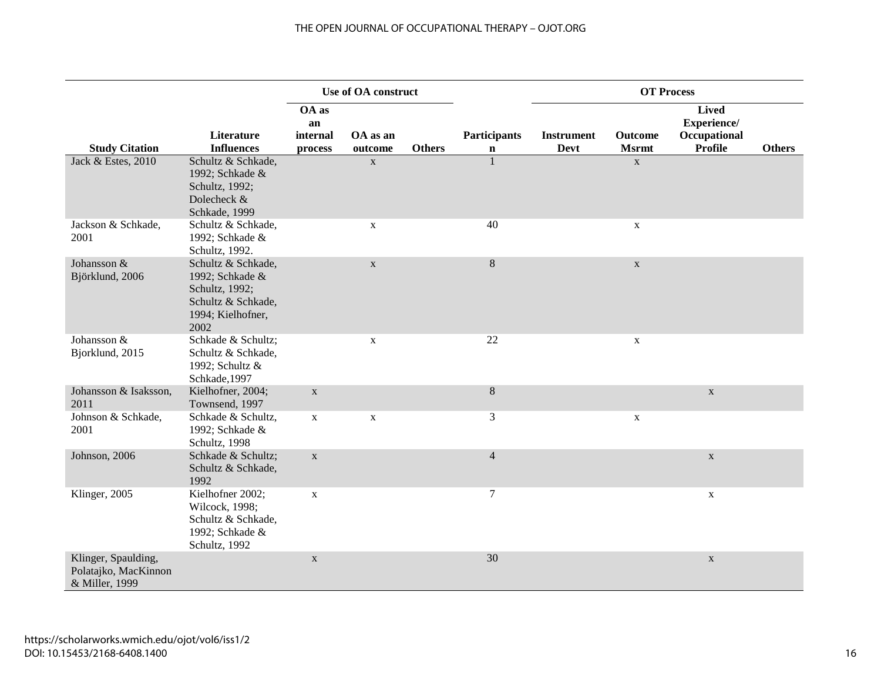### THE OPEN JOURNAL OF OCCUPATIONAL THERAPY – OJOT.ORG

|                                                               |                                                                                                            | Use of OA construct                |                     |               |                                    | <b>OT Process</b>                |                         |                                                               |               |
|---------------------------------------------------------------|------------------------------------------------------------------------------------------------------------|------------------------------------|---------------------|---------------|------------------------------------|----------------------------------|-------------------------|---------------------------------------------------------------|---------------|
| <b>Study Citation</b>                                         | Literature<br><b>Influences</b>                                                                            | OA as<br>an<br>internal<br>process | OA as an<br>outcome | <b>Others</b> | <b>Participants</b><br>$\mathbf n$ | <b>Instrument</b><br><b>Devt</b> | Outcome<br><b>Msrmt</b> | <b>Lived</b><br>Experience/<br>Occupational<br><b>Profile</b> | <b>Others</b> |
| Jack & Estes, 2010                                            | Schultz & Schkade,<br>1992; Schkade &<br>Schultz, 1992;<br>Dolecheck &<br>Schkade, 1999                    |                                    | $\mathbf X$         |               |                                    |                                  | $\mathbf X$             |                                                               |               |
| Jackson & Schkade,<br>2001                                    | Schultz & Schkade,<br>1992; Schkade &<br>Schultz, 1992.                                                    |                                    | $\mathbf X$         |               | 40                                 |                                  | $\mathbf{X}$            |                                                               |               |
| Johansson &<br>Björklund, 2006                                | Schultz & Schkade,<br>1992; Schkade &<br>Schultz, 1992;<br>Schultz & Schkade,<br>1994; Kielhofner,<br>2002 |                                    | $\mathbf X$         |               | $\,8\,$                            |                                  | $\mathbf{X}$            |                                                               |               |
| Johansson &<br>Bjorklund, 2015                                | Schkade & Schultz;<br>Schultz & Schkade,<br>1992; Schultz &<br>Schkade, 1997                               |                                    | $\mathbf X$         |               | 22                                 |                                  | $\mathbf X$             |                                                               |               |
| Johansson & Isaksson,<br>2011                                 | Kielhofner, 2004;<br>Townsend, 1997                                                                        | $\mathbf X$                        |                     |               | $8\,$                              |                                  |                         | $\mathbf X$                                                   |               |
| Johnson & Schkade,<br>2001                                    | Schkade & Schultz,<br>1992; Schkade &<br>Schultz, 1998                                                     | $\mathbf X$                        | $\mathbf X$         |               | $\mathfrak{Z}$                     |                                  | $\mathbf X$             |                                                               |               |
| Johnson, 2006                                                 | Schkade & Schultz;<br>Schultz & Schkade,<br>1992                                                           | $\mathbf X$                        |                     |               | $\overline{4}$                     |                                  |                         | $\mathbf X$                                                   |               |
| Klinger, 2005                                                 | Kielhofner 2002;<br>Wilcock, 1998;<br>Schultz & Schkade,<br>1992; Schkade &<br>Schultz, 1992               | $\mathbf X$                        |                     |               | $\overline{7}$                     |                                  |                         | $\mathbf X$                                                   |               |
| Klinger, Spaulding,<br>Polatajko, MacKinnon<br>& Miller, 1999 |                                                                                                            | $\mathbf X$                        |                     |               | 30                                 |                                  |                         | $\mathbf{X}$                                                  |               |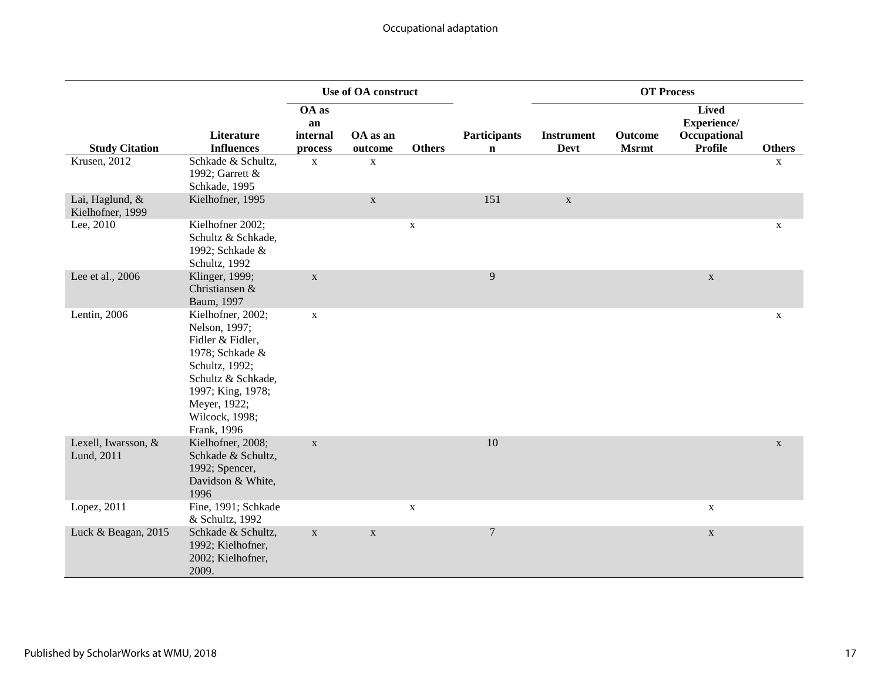|                                     |                                                                                                                                                                                         | Use of OA construct                |                     |               |                                    | <b>OT Process</b>                |                         |                                                               |               |
|-------------------------------------|-----------------------------------------------------------------------------------------------------------------------------------------------------------------------------------------|------------------------------------|---------------------|---------------|------------------------------------|----------------------------------|-------------------------|---------------------------------------------------------------|---------------|
| <b>Study Citation</b>               | Literature<br><b>Influences</b>                                                                                                                                                         | OA as<br>an<br>internal<br>process | OA as an<br>outcome | <b>Others</b> | <b>Participants</b><br>$\mathbf n$ | <b>Instrument</b><br><b>Devt</b> | Outcome<br><b>Msrmt</b> | <b>Lived</b><br>Experience/<br>Occupational<br><b>Profile</b> | <b>Others</b> |
| <b>Krusen</b> , 2012                | Schkade & Schultz,<br>1992; Garrett &<br>Schkade, 1995                                                                                                                                  | $\mathbf X$                        | $\mathbf X$         |               |                                    |                                  |                         |                                                               | $\mathbf X$   |
| Lai, Haglund, &<br>Kielhofner, 1999 | Kielhofner, 1995                                                                                                                                                                        |                                    | $\mathbf X$         |               | 151                                | $\mathbf X$                      |                         |                                                               |               |
| Lee, 2010                           | Kielhofner 2002;<br>Schultz & Schkade,<br>1992; Schkade &<br>Schultz, 1992                                                                                                              |                                    |                     | X             |                                    |                                  |                         |                                                               | X             |
| Lee et al., 2006                    | Klinger, 1999;<br>Christiansen &<br>Baum, 1997                                                                                                                                          | $\mathbf X$                        |                     |               | 9                                  |                                  |                         | $\mathbf X$                                                   |               |
| Lentin, 2006                        | Kielhofner, 2002;<br>Nelson, 1997;<br>Fidler & Fidler,<br>1978; Schkade &<br>Schultz, 1992;<br>Schultz & Schkade,<br>1997; King, 1978;<br>Meyer, 1922;<br>Wilcock, 1998;<br>Frank, 1996 | $\mathbf X$                        |                     |               |                                    |                                  |                         |                                                               | $\mathbf X$   |
| Lexell, Iwarsson, &<br>Lund, 2011   | Kielhofner, 2008;<br>Schkade & Schultz,<br>1992; Spencer,<br>Davidson & White,<br>1996                                                                                                  | $\mathbf X$                        |                     |               | 10                                 |                                  |                         |                                                               | $\mathbf X$   |
| Lopez, 2011                         | Fine, 1991; Schkade<br>& Schultz, 1992                                                                                                                                                  |                                    |                     | $\mathbf X$   |                                    |                                  |                         | $\mathbf{X}$                                                  |               |
| Luck & Beagan, 2015                 | Schkade & Schultz,<br>1992; Kielhofner,<br>2002; Kielhofner,<br>2009.                                                                                                                   | $\mathbf X$                        | $\mathbf X$         |               | $\boldsymbol{7}$                   |                                  |                         | $\mathbf X$                                                   |               |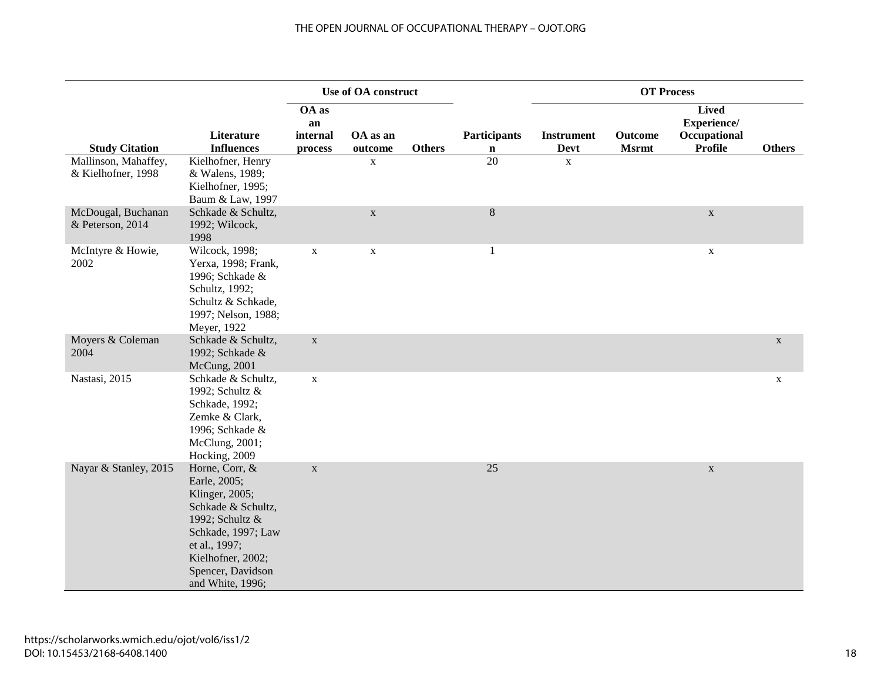|                                        |                                                                                                                                                                                                | Use of OA construct     |                     |               |                     | <b>OT Process</b>         |                         |                                                               |               |
|----------------------------------------|------------------------------------------------------------------------------------------------------------------------------------------------------------------------------------------------|-------------------------|---------------------|---------------|---------------------|---------------------------|-------------------------|---------------------------------------------------------------|---------------|
| <b>Study Citation</b>                  | Literature<br><b>Influences</b>                                                                                                                                                                | OA as<br>an<br>internal | OA as an<br>outcome | <b>Others</b> | <b>Participants</b> | <b>Instrument</b><br>Devt | Outcome<br><b>Msrmt</b> | <b>Lived</b><br>Experience/<br>Occupational<br><b>Profile</b> | <b>Others</b> |
| Mallinson, Mahaffey,                   | Kielhofner, Henry                                                                                                                                                                              | process                 | $\mathbf X$         |               | $\mathbf n$<br>20   | $\mathbf X$               |                         |                                                               |               |
| & Kielhofner, 1998                     | & Walens, 1989;<br>Kielhofner, 1995;<br>Baum & Law, 1997                                                                                                                                       |                         |                     |               |                     |                           |                         |                                                               |               |
| McDougal, Buchanan<br>& Peterson, 2014 | Schkade & Schultz,<br>1992; Wilcock,<br>1998                                                                                                                                                   |                         | $\mathbf X$         |               | $\, 8$              |                           |                         | $\mathbf X$                                                   |               |
| McIntyre & Howie,<br>2002              | Wilcock, 1998;<br>Yerxa, 1998; Frank,<br>1996; Schkade &<br>Schultz, 1992;<br>Schultz & Schkade,<br>1997; Nelson, 1988;<br>Meyer, 1922                                                         | $\mathbf X$             | $\mathbf X$         |               | 1                   |                           |                         | $\mathbf{X}$                                                  |               |
| Moyers & Coleman<br>2004               | Schkade & Schultz,<br>1992; Schkade &<br>McCung, 2001                                                                                                                                          | $\mathbf X$             |                     |               |                     |                           |                         |                                                               | $\mathbf X$   |
| Nastasi, 2015                          | Schkade & Schultz,<br>1992; Schultz &<br>Schkade, 1992;<br>Zemke & Clark,<br>1996; Schkade &<br>McClung, 2001;<br>Hocking, 2009                                                                | $\mathbf X$             |                     |               |                     |                           |                         |                                                               | $\mathbf{X}$  |
| Nayar & Stanley, 2015                  | Horne, Corr, &<br>Earle, 2005;<br>Klinger, 2005;<br>Schkade & Schultz,<br>1992; Schultz &<br>Schkade, 1997; Law<br>et al., 1997;<br>Kielhofner, 2002;<br>Spencer, Davidson<br>and White, 1996; | $\mathbf X$             |                     |               | 25                  |                           |                         | $\mathbf X$                                                   |               |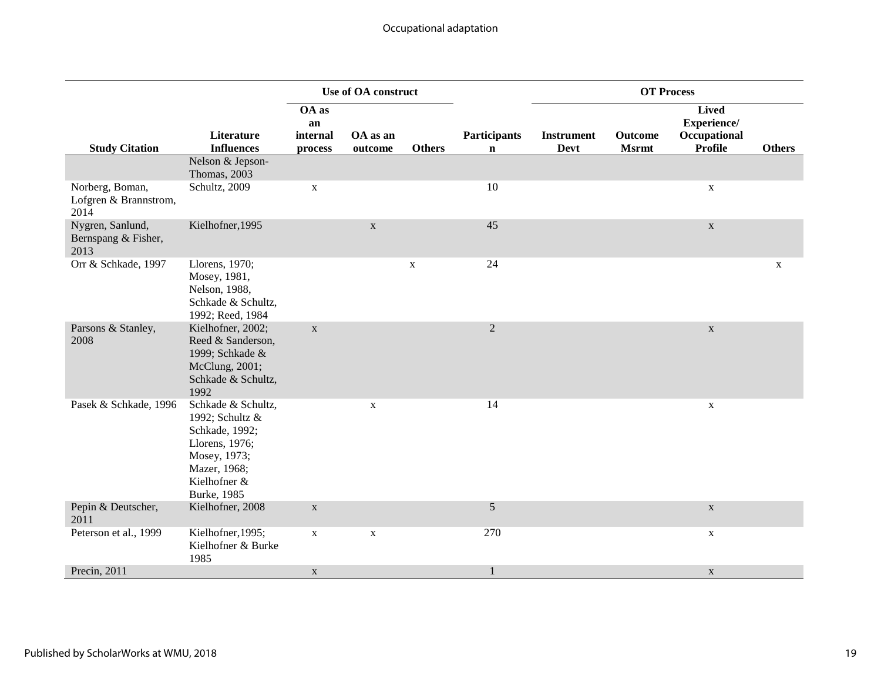|                                                  |                                                                                                                                                  |                                    | <b>Use of OA construct</b> |               |                                    |                                  | <b>OT Process</b>       |                                                               |               |
|--------------------------------------------------|--------------------------------------------------------------------------------------------------------------------------------------------------|------------------------------------|----------------------------|---------------|------------------------------------|----------------------------------|-------------------------|---------------------------------------------------------------|---------------|
| <b>Study Citation</b>                            | Literature<br><b>Influences</b>                                                                                                                  | OA as<br>an<br>internal<br>process | OA as an<br>outcome        | <b>Others</b> | <b>Participants</b><br>$\mathbf n$ | <b>Instrument</b><br><b>Devt</b> | Outcome<br><b>Msrmt</b> | <b>Lived</b><br>Experience/<br>Occupational<br><b>Profile</b> | <b>Others</b> |
|                                                  | Nelson & Jepson-<br>Thomas, 2003                                                                                                                 |                                    |                            |               |                                    |                                  |                         |                                                               |               |
| Norberg, Boman,<br>Lofgren & Brannstrom,<br>2014 | Schultz, 2009                                                                                                                                    | $\mathbf X$                        |                            |               | 10                                 |                                  |                         | $\mathbf X$                                                   |               |
| Nygren, Sanlund,<br>Bernspang & Fisher,<br>2013  | Kielhofner, 1995                                                                                                                                 |                                    | $\mathbf X$                |               | 45                                 |                                  |                         | $\mathbf X$                                                   |               |
| Orr & Schkade, 1997                              | Llorens, 1970;<br>Mosey, 1981,<br>Nelson, 1988,<br>Schkade & Schultz,<br>1992; Reed, 1984                                                        |                                    |                            | $\mathbf X$   | 24                                 |                                  |                         |                                                               | $\mathbf X$   |
| Parsons & Stanley,<br>2008                       | Kielhofner, 2002;<br>Reed & Sanderson,<br>1999; Schkade &<br>McClung, 2001;<br>Schkade & Schultz,<br>1992                                        | $\mathbf X$                        |                            |               | $\overline{2}$                     |                                  |                         | $\mathbf X$                                                   |               |
| Pasek & Schkade, 1996                            | Schkade & Schultz,<br>1992; Schultz &<br>Schkade, 1992;<br>Llorens, 1976;<br>Mosey, 1973;<br>Mazer, 1968;<br>Kielhofner &<br><b>Burke</b> , 1985 |                                    | $\mathbf X$                |               | 14                                 |                                  |                         | X                                                             |               |
| Pepin & Deutscher,<br>2011                       | Kielhofner, 2008                                                                                                                                 | $\mathbf X$                        |                            |               | $\mathfrak{S}$                     |                                  |                         | $\mathbf X$                                                   |               |
| Peterson et al., 1999                            | Kielhofner, 1995;<br>Kielhofner & Burke<br>1985                                                                                                  | $\mathbf X$                        | $\mathbf X$                |               | 270                                |                                  |                         | $\mathbf{X}$                                                  |               |
| Precin, 2011                                     |                                                                                                                                                  | $\mathbf X$                        |                            |               | 1                                  |                                  |                         | $\mathbf{X}$                                                  |               |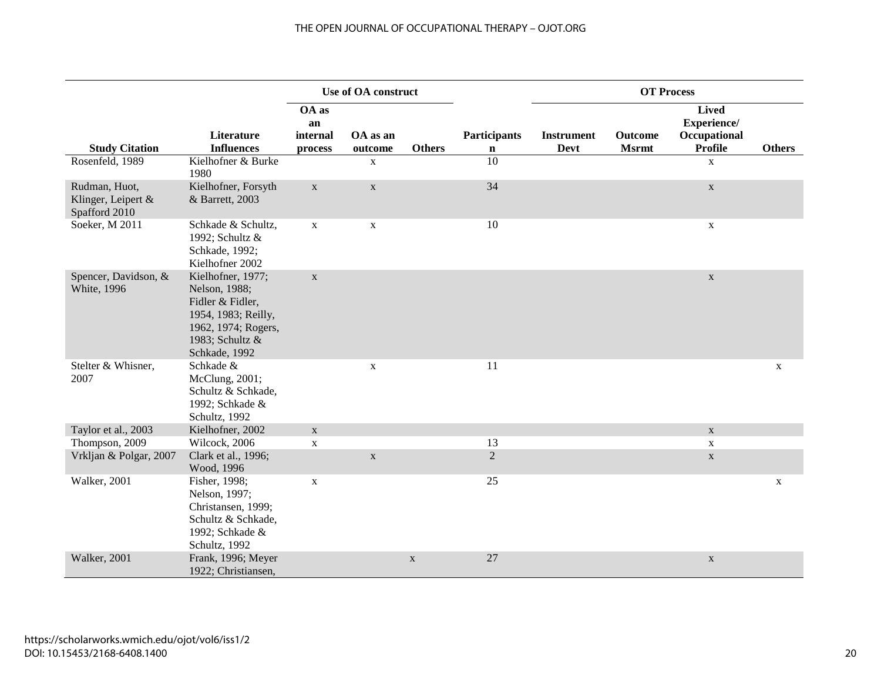### THE OPEN JOURNAL OF OCCUPATIONAL THERAPY – OJOT.ORG

|                                                      |                                                                                                                                          |                                    | <b>Use of OA construct</b> |               |                                    |                                  | <b>OT Process</b>       |                                                               |               |
|------------------------------------------------------|------------------------------------------------------------------------------------------------------------------------------------------|------------------------------------|----------------------------|---------------|------------------------------------|----------------------------------|-------------------------|---------------------------------------------------------------|---------------|
| <b>Study Citation</b>                                | Literature<br><b>Influences</b>                                                                                                          | OA as<br>an<br>internal<br>process | OA as an<br>outcome        | <b>Others</b> | <b>Participants</b><br>$\mathbf n$ | <b>Instrument</b><br><b>Devt</b> | Outcome<br><b>Msrmt</b> | <b>Lived</b><br>Experience/<br>Occupational<br><b>Profile</b> | <b>Others</b> |
| Rosenfeld, 1989                                      | Kielhofner & Burke<br>1980                                                                                                               |                                    | $\mathbf X$                |               | 10                                 |                                  |                         | $\mathbf X$                                                   |               |
| Rudman, Huot,<br>Klinger, Leipert &<br>Spafford 2010 | Kielhofner, Forsyth<br>& Barrett, 2003                                                                                                   | $\mathbf X$                        | $\mathbf X$                |               | 34                                 |                                  |                         | $\mathbf X$                                                   |               |
| Soeker, M 2011                                       | Schkade & Schultz,<br>1992; Schultz &<br>Schkade, 1992;<br>Kielhofner 2002                                                               | $\mathbf X$                        | $\mathbf X$                |               | 10                                 |                                  |                         | $\mathbf X$                                                   |               |
| Spencer, Davidson, &<br><b>White</b> , 1996          | Kielhofner, 1977;<br>Nelson, 1988;<br>Fidler & Fidler,<br>1954, 1983; Reilly,<br>1962, 1974; Rogers,<br>1983; Schultz &<br>Schkade, 1992 | $\mathbf X$                        |                            |               |                                    |                                  |                         | $\mathbf X$                                                   |               |
| Stelter & Whisner,<br>2007                           | Schkade &<br>McClung, 2001;<br>Schultz & Schkade,<br>1992; Schkade &<br>Schultz, 1992                                                    |                                    | $\mathbf X$                |               | 11                                 |                                  |                         |                                                               | $\mathbf X$   |
| Taylor et al., 2003                                  | Kielhofner, 2002                                                                                                                         | $\mathbf X$                        |                            |               |                                    |                                  |                         | $\mathbf X$                                                   |               |
| Thompson, 2009                                       | Wilcock, 2006                                                                                                                            | $\mathbf X$                        |                            |               | 13                                 |                                  |                         | $\mathbf X$                                                   |               |
| Vrkljan & Polgar, 2007                               | Clark et al., 1996;<br>Wood, 1996                                                                                                        |                                    | $\mathbf X$                |               | $\overline{2}$                     |                                  |                         | $\mathbf X$                                                   |               |
| Walker, 2001                                         | Fisher, 1998;<br>Nelson, 1997;<br>Christansen, 1999;<br>Schultz & Schkade,<br>1992; Schkade &<br>Schultz, 1992                           | $\mathbf X$                        |                            |               | 25                                 |                                  |                         |                                                               | $\mathbf X$   |
| Walker, 2001                                         | Frank, 1996; Meyer<br>1922; Christiansen,                                                                                                |                                    |                            | $\mathbf X$   | 27                                 |                                  |                         | $\mathbf X$                                                   |               |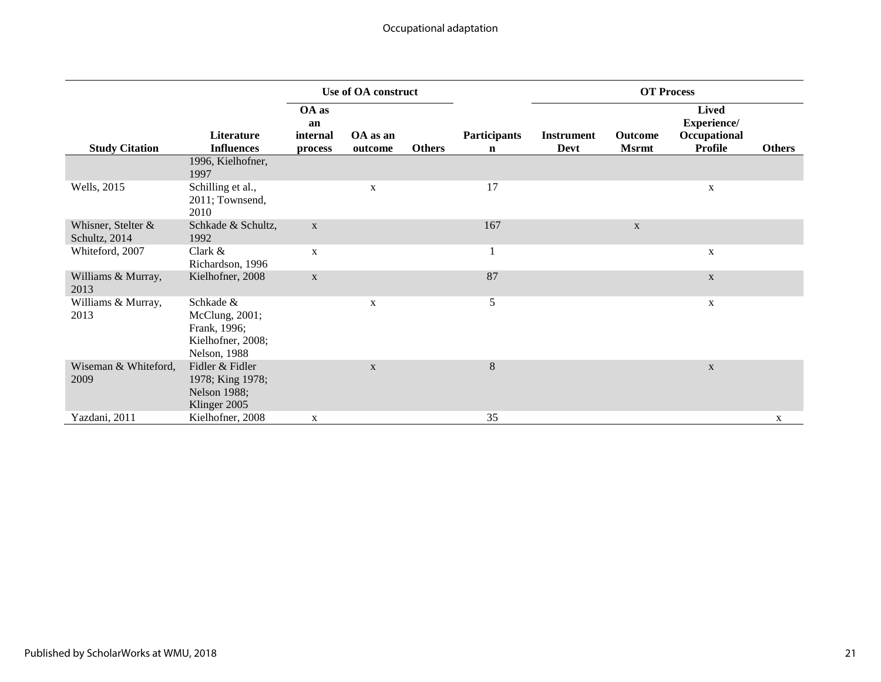|                                     |                                                                                          | Use of OA construct                |                     |               |                                    | <b>OT Process</b>         |                                |                                                               |               |
|-------------------------------------|------------------------------------------------------------------------------------------|------------------------------------|---------------------|---------------|------------------------------------|---------------------------|--------------------------------|---------------------------------------------------------------|---------------|
| <b>Study Citation</b>               | <b>Literature</b><br><b>Influences</b>                                                   | OA as<br>an<br>internal<br>process | OA as an<br>outcome | <b>Others</b> | <b>Participants</b><br>$\mathbf n$ | <b>Instrument</b><br>Devt | <b>Outcome</b><br><b>Msrmt</b> | <b>Lived</b><br>Experience/<br>Occupational<br><b>Profile</b> | <b>Others</b> |
|                                     | 1996, Kielhofner,<br>1997                                                                |                                    |                     |               |                                    |                           |                                |                                                               |               |
| Wells, 2015                         | Schilling et al.,<br>2011; Townsend,<br>2010                                             |                                    | X                   |               | 17                                 |                           |                                | X                                                             |               |
| Whisner, Stelter &<br>Schultz, 2014 | Schkade & Schultz,<br>1992                                                               | $\mathbf X$                        |                     |               | 167                                |                           | $\mathbf{X}$                   |                                                               |               |
| Whiteford, 2007                     | Clark $\&$<br>Richardson, 1996                                                           | X                                  |                     |               | $\perp$                            |                           |                                | X                                                             |               |
| Williams & Murray,<br>2013          | Kielhofner, 2008                                                                         | $\mathbf X$                        |                     |               | 87                                 |                           |                                | $\mathbf X$                                                   |               |
| Williams & Murray,<br>2013          | Schkade &<br>McClung, 2001;<br>Frank, 1996;<br>Kielhofner, 2008;<br><b>Nelson</b> , 1988 |                                    | $\mathbf X$         |               | 5                                  |                           |                                | X                                                             |               |
| Wiseman & Whiteford,<br>2009        | Fidler & Fidler<br>1978; King 1978;<br><b>Nelson 1988;</b><br>Klinger 2005               |                                    | $\mathbf X$         |               | $\,8\,$                            |                           |                                | $\mathbf X$                                                   |               |
| Yazdani, 2011                       | Kielhofner, 2008                                                                         | X                                  |                     |               | 35                                 |                           |                                |                                                               | X             |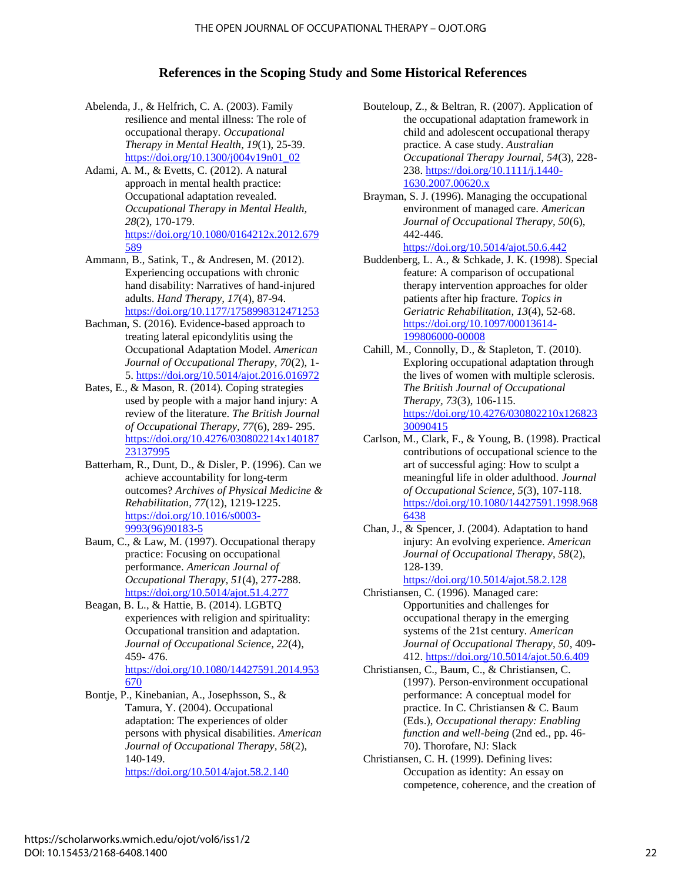#### **References in the Scoping Study and Some Historical References**

- Abelenda, J., & Helfrich, C. A. (2003). Family resilience and mental illness: The role of occupational therapy. *Occupational Therapy in Mental Health*, *19*(1), 25-39. [https://doi.org/10.1300/j004v19n01\\_02](https://doi.org/10.1300/j004v19n01_02)
- Adami, A. M., & Evetts, C. (2012). A natural approach in mental health practice: Occupational adaptation revealed. *Occupational Therapy in Mental Health, 28*(2), 170-179. [https://doi.org/10.1080/0164212x.2012.679](https://doi.org/10.1080/0164212x.2012.679589) [589](https://doi.org/10.1080/0164212x.2012.679589)
- Ammann, B., Satink, T., & Andresen, M. (2012). Experiencing occupations with chronic hand disability: Narratives of hand-injured adults. *Hand Therapy, 17*(4), 87-94. <https://doi.org/10.1177/1758998312471253>
- Bachman, S. (2016). Evidence-based approach to treating lateral epicondylitis using the Occupational Adaptation Model. *American Journal of Occupational Therapy, 70*(2), 1- 5.<https://doi.org/10.5014/ajot.2016.016972>
- Bates, E., & Mason, R. (2014). Coping strategies used by people with a major hand injury: A review of the literature. *The British Journal of Occupational Therapy, 77*(6), 289- 295. [https://doi.org/10.4276/030802214x140187](https://doi.org/10.4276/030802214x14018723137995) [23137995](https://doi.org/10.4276/030802214x14018723137995)
- Batterham, R., Dunt, D., & Disler, P. (1996). Can we achieve accountability for long-term outcomes? *Archives of Physical Medicine & Rehabilitation, 77*(12), 1219-1225. [https://doi.org/10.1016/s0003-](https://doi.org/10.1016/s0003-9993(96)90183-5) [9993\(96\)90183-5](https://doi.org/10.1016/s0003-9993(96)90183-5)
- Baum, C., & Law, M. (1997). Occupational therapy practice: Focusing on occupational performance. *American Journal of Occupational Therapy, 51*(4), 277-288. <https://doi.org/10.5014/ajot.51.4.277>
- Beagan, B. L., & Hattie, B. (2014). LGBTQ experiences with religion and spirituality: Occupational transition and adaptation. *Journal of Occupational Science, 22*(4), 459- 476.

[https://doi.org/10.1080/14427591.2014.953](https://doi.org/10.1080/14427591.2014.953670) [670](https://doi.org/10.1080/14427591.2014.953670)

Bontje, P., Kinebanian, A., Josephsson, S., & Tamura, Y. (2004). Occupational adaptation: The experiences of older persons with physical disabilities. *American Journal of Occupational Therapy, 58*(2), 140-149. <https://doi.org/10.5014/ajot.58.2.140>

Bouteloup, Z., & Beltran, R. (2007). Application of the occupational adaptation framework in child and adolescent occupational therapy practice. A case study. *Australian Occupational Therapy Journal, 54*(3), 228- 238. [https://doi.org/10.1111/j.1440-](https://doi.org/10.1111/j.1440-1630.2007.00620.x) [1630.2007.00620.x](https://doi.org/10.1111/j.1440-1630.2007.00620.x)

Brayman, S. J. (1996). Managing the occupational environment of managed care. *American Journal of Occupational Therapy, 50*(6), 442-446.

<https://doi.org/10.5014/ajot.50.6.442>

Buddenberg, L. A., & Schkade, J. K. (1998). Special feature: A comparison of occupational therapy intervention approaches for older patients after hip fracture. *Topics in Geriatric Rehabilitation, 13*(4), 52-68. [https://doi.org/10.1097/00013614-](https://doi.org/10.1097/00013614-199806000-00008) [199806000-00008](https://doi.org/10.1097/00013614-199806000-00008)

- Cahill, M., Connolly, D., & Stapleton, T. (2010). Exploring occupational adaptation through the lives of women with multiple sclerosis. *The British Journal of Occupational Therapy, 73*(3), 106-115. [https://doi.org/10.4276/030802210x126823](https://doi.org/10.4276/030802210x12682330090415) [30090415](https://doi.org/10.4276/030802210x12682330090415)
- Carlson, M., Clark, F., & Young, B. (1998). Practical contributions of occupational science to the art of successful aging: How to sculpt a meaningful life in older adulthood. *Journal of Occupational Science, 5*(3), 107-118. [https://doi.org/10.1080/14427591.1998.968](https://doi.org/10.1080/14427591.1998.9686438) [6438](https://doi.org/10.1080/14427591.1998.9686438)
- Chan, J., & Spencer, J. (2004). Adaptation to hand injury: An evolving experience. *American Journal of Occupational Therapy, 58*(2), 128-139.

<https://doi.org/10.5014/ajot.58.2.128>

Christiansen, C. (1996). Managed care: Opportunities and challenges for occupational therapy in the emerging systems of the 21st century. *American Journal of Occupational Therapy, 50*, 409- 412.<https://doi.org/10.5014/ajot.50.6.409>

- Christiansen, C., Baum, C., & Christiansen, C. (1997). Person-environment occupational performance: A conceptual model for practice. In C. Christiansen & C. Baum (Eds.), *Occupational therapy: Enabling function and well-being* (2nd ed., pp. 46- 70). Thorofare, NJ: Slack
- Christiansen, C. H. (1999). Defining lives: Occupation as identity: An essay on competence, coherence, and the creation of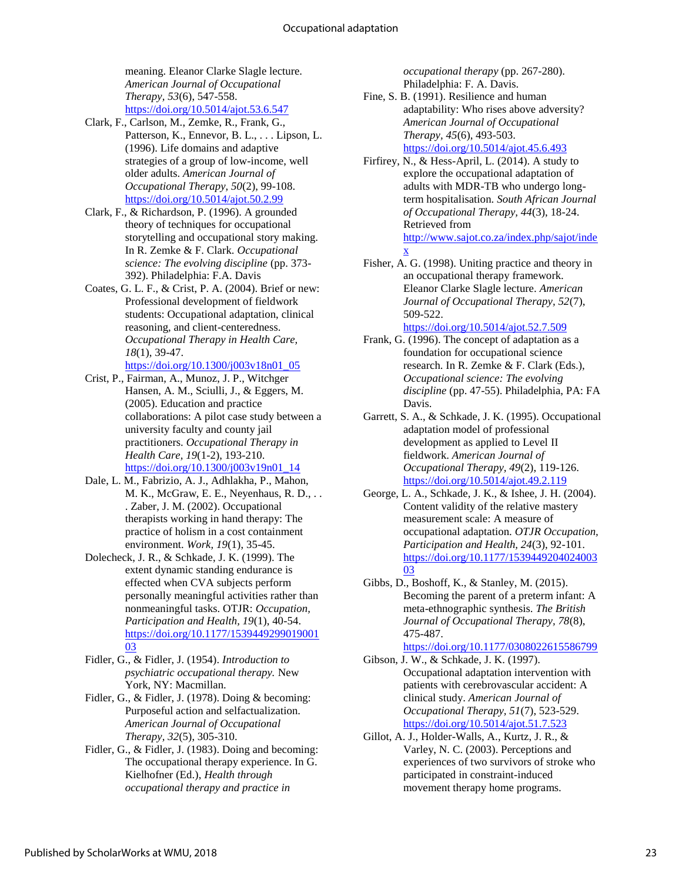meaning. Eleanor Clarke Slagle lecture. *American Journal of Occupational Therapy, 53*(6), 547-558. <https://doi.org/10.5014/ajot.53.6.547>

Clark, F., Carlson, M., Zemke, R., Frank, G., Patterson, K., Ennevor, B. L., . . . Lipson, L. (1996). Life domains and adaptive strategies of a group of low-income, well older adults. *American Journal of Occupational Therapy, 50*(2), 99-108. <https://doi.org/10.5014/ajot.50.2.99>

- Clark, F., & Richardson, P. (1996). A grounded theory of techniques for occupational storytelling and occupational story making. In R. Zemke & F. Clark. *Occupational science: The evolving discipline* (pp. 373- 392). Philadelphia: F.A. Davis
- Coates, G. L. F., & Crist, P. A. (2004). Brief or new: Professional development of fieldwork students: Occupational adaptation, clinical reasoning, and client-centeredness. *Occupational Therapy in Health Care, 18*(1), 39-47. [https://doi.org/10.1300/j003v18n01\\_05](https://doi.org/10.1300/j003v18n01_05)
- Crist, P., Fairman, A., Munoz, J. P., Witchger Hansen, A. M., Sciulli, J., & Eggers, M. (2005). Education and practice collaborations: A pilot case study between a university faculty and county jail practitioners. *Occupational Therapy in Health Care, 19*(1-2), 193-210. [https://doi.org/10.1300/j003v19n01\\_14](https://doi.org/10.1300/j003v19n01_14)
- Dale, L. M., Fabrizio, A. J., Adhlakha, P., Mahon, M. K., McGraw, E. E., Neyenhaus, R. D., . . . Zaber, J. M. (2002). Occupational therapists working in hand therapy: The practice of holism in a cost containment environment. *Work, 19*(1), 35-45.
- Dolecheck, J. R., & Schkade, J. K. (1999). The extent dynamic standing endurance is effected when CVA subjects perform personally meaningful activities rather than nonmeaningful tasks. OTJR: *Occupation, Participation and Health, 19*(1), 40-54. [https://doi.org/10.1177/1539449299019001](https://doi.org/10.1177/153944929901900103) [03](https://doi.org/10.1177/153944929901900103)
- Fidler, G., & Fidler, J. (1954). *Introduction to psychiatric occupational therapy.* New York, NY: Macmillan.
- Fidler, G., & Fidler, J. (1978). Doing & becoming: Purposeful action and selfactualization. *American Journal of Occupational Therapy, 32*(5), 305-310.
- Fidler, G., & Fidler, J. (1983). Doing and becoming: The occupational therapy experience. In G. Kielhofner (Ed.), *Health through occupational therapy and practice in*

*occupational therapy* (pp. 267-280). Philadelphia: F. A. Davis.

Fine, S. B. (1991). Resilience and human adaptability: Who rises above adversity? *American Journal of Occupational Therapy, 45*(6), 493-503. <https://doi.org/10.5014/ajot.45.6.493>

Firfirey, N., & Hess-April, L. (2014). A study to explore the occupational adaptation of adults with MDR-TB who undergo longterm hospitalisation. *South African Journal of Occupational Therapy, 44*(3), 18-24. Retrieved from [http://www.sajot.co.za/index.php/sajot/inde](http://www.sajot.co.za/index.php/sajot/index) [x](http://www.sajot.co.za/index.php/sajot/index)

- Fisher, A. G. (1998). Uniting practice and theory in an occupational therapy framework. Eleanor Clarke Slagle lecture. *American Journal of Occupational Therapy, 52*(7), 509-522. <https://doi.org/10.5014/ajot.52.7.509>
- Frank, G. (1996). The concept of adaptation as a foundation for occupational science research. In R. Zemke & F. Clark (Eds.), *Occupational science: The evolving discipline* (pp. 47-55). Philadelphia, PA: FA Davis.
- Garrett, S. A., & Schkade, J. K. (1995). Occupational adaptation model of professional development as applied to Level II fieldwork. *American Journal of Occupational Therapy, 49*(2), 119-126. <https://doi.org/10.5014/ajot.49.2.119>
- George, L. A., Schkade, J. K., & Ishee, J. H. (2004). Content validity of the relative mastery measurement scale: A measure of occupational adaptation. *OTJR Occupation, Participation and Health, 24*(3), 92-101. [https://doi.org/10.1177/1539449204024003](https://doi.org/10.1177/153944920402400303) [03](https://doi.org/10.1177/153944920402400303)
- Gibbs, D., Boshoff, K., & Stanley, M. (2015). Becoming the parent of a preterm infant: A meta-ethnographic synthesis. *The British Journal of Occupational Therapy, 78*(8), 475-487.

<https://doi.org/10.1177/0308022615586799>

Gibson, J. W., & Schkade, J. K. (1997). Occupational adaptation intervention with patients with cerebrovascular accident: A clinical study. *American Journal of Occupational Therapy, 51*(7), 523-529. <https://doi.org/10.5014/ajot.51.7.523>

Gillot, A. J., Holder-Walls, A., Kurtz, J. R., & Varley, N. C. (2003). Perceptions and experiences of two survivors of stroke who participated in constraint-induced movement therapy home programs.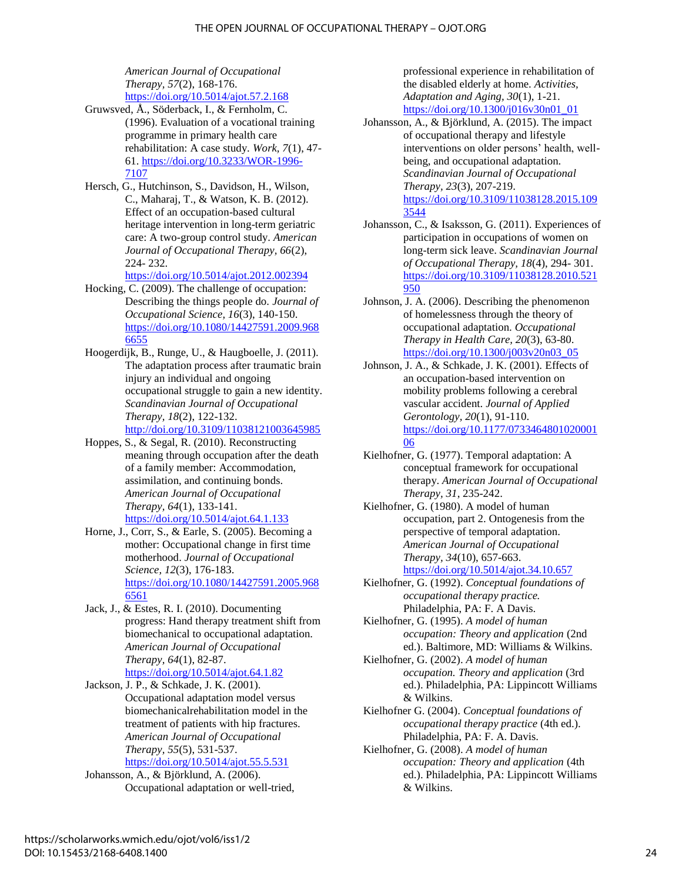*American Journal of Occupational Therapy, 57*(2), 168-176. <https://doi.org/10.5014/ajot.57.2.168>

- Gruwsved, Å., Söderback, I., & Fernholm, C. (1996). Evaluation of a vocational training programme in primary health care rehabilitation: A case study. *Work, 7*(1), 47- 61. [https://doi.org/10.3233/WOR-1996-](https://doi.org/10.3233/WOR-1996-7107) [7107](https://doi.org/10.3233/WOR-1996-7107)
- Hersch, G., Hutchinson, S., Davidson, H., Wilson, C., Maharaj, T., & Watson, K. B. (2012). Effect of an occupation-based cultural heritage intervention in long-term geriatric care: A two-group control study. *American Journal of Occupational Therapy, 66*(2), 224- 232.

<https://doi.org/10.5014/ajot.2012.002394>

- Hocking, C. (2009). The challenge of occupation: Describing the things people do. *Journal of Occupational Science, 16*(3), 140-150. [https://doi.org/10.1080/14427591.2009.968](https://doi.org/10.1080/14427591.2009.9686655) [6655](https://doi.org/10.1080/14427591.2009.9686655)
- Hoogerdijk, B., Runge, U., & Haugboelle, J. (2011). The adaptation process after traumatic brain injury an individual and ongoing occupational struggle to gain a new identity. *Scandinavian Journal of Occupational Therapy, 18*(2), 122-132. <http://doi.org/10.3109/11038121003645985>
- Hoppes, S., & Segal, R. (2010). Reconstructing meaning through occupation after the death of a family member: Accommodation, assimilation, and continuing bonds. *American Journal of Occupational Therapy, 64*(1), 133-141. <https://doi.org/10.5014/ajot.64.1.133>
- Horne, J., Corr, S., & Earle, S. (2005). Becoming a mother: Occupational change in first time motherhood. *Journal of Occupational Science, 12*(3), 176-183. [https://doi.org/10.1080/14427591.2005.968](https://doi.org/10.1080/14427591.2005.9686561) [6561](https://doi.org/10.1080/14427591.2005.9686561)
- Jack, J., & Estes, R. I. (2010). Documenting progress: Hand therapy treatment shift from biomechanical to occupational adaptation. *American Journal of Occupational Therapy, 64*(1), 82-87. <https://doi.org/10.5014/ajot.64.1.82>
- Jackson, J. P., & Schkade, J. K. (2001). Occupational adaptation model versus biomechanicalrehabilitation model in the treatment of patients with hip fractures. *American Journal of Occupational Therapy, 55*(5), 531-537. <https://doi.org/10.5014/ajot.55.5.531>

Johansson, A., & Björklund, A. (2006). Occupational adaptation or well-tried, professional experience in rehabilitation of the disabled elderly at home. *Activities, Adaptation and Aging, 30*(1), 1-21. [https://doi.org/10.1300/j016v30n01\\_01](https://doi.org/10.1300/j016v30n01_01)

- Johansson, A., & Björklund, A. (2015). The impact of occupational therapy and lifestyle interventions on older persons' health, wellbeing, and occupational adaptation. *Scandinavian Journal of Occupational Therapy, 23*(3), 207-219. [https://doi.org/10.3109/11038128.2015.109](https://doi.org/10.3109/11038128.2015.1093544) [3544](https://doi.org/10.3109/11038128.2015.1093544)
- Johansson, C., & Isaksson, G. (2011). Experiences of participation in occupations of women on long-term sick leave. *Scandinavian Journal of Occupational Therapy, 18*(4), 294- 301. [https://doi.org/10.3109/11038128.2010.521](https://doi.org/10.3109/11038128.2010.521950) [950](https://doi.org/10.3109/11038128.2010.521950)
- Johnson, J. A. (2006). Describing the phenomenon of homelessness through the theory of occupational adaptation. *Occupational Therapy in Health Care, 20*(3), 63-80. [https://doi.org/10.1300/j003v20n03\\_05](https://doi.org/10.1300/j003v20n03_05)
- Johnson, J. A., & Schkade, J. K. (2001). Effects of an occupation-based intervention on mobility problems following a cerebral vascular accident. *Journal of Applied Gerontology, 20*(1), 91-110. [https://doi.org/10.1177/0733464801020001](https://doi.org/10.1177/073346480102000106) [06](https://doi.org/10.1177/073346480102000106)
- Kielhofner, G. (1977). Temporal adaptation: A conceptual framework for occupational therapy. *American Journal of Occupational Therapy, 31*, 235-242.
- Kielhofner, G. (1980). A model of human occupation, part 2. Ontogenesis from the perspective of temporal adaptation. *American Journal of Occupational Therapy, 34*(10), 657-663. <https://doi.org/10.5014/ajot.34.10.657>
- Kielhofner, G. (1992). *Conceptual foundations of occupational therapy practice.* Philadelphia, PA: F. A Davis.
- Kielhofner, G. (1995). *A model of human occupation: Theory and application* (2nd ed.). Baltimore, MD: Williams & Wilkins.

Kielhofner, G. (2002). *A model of human occupation. Theory and application* (3rd ed.). Philadelphia, PA: Lippincott Williams & Wilkins.

- Kielhofner G. (2004). *Conceptual foundations of occupational therapy practice* (4th ed.). Philadelphia, PA: F. A. Davis.
- Kielhofner, G. (2008). *A model of human occupation: Theory and application* (4th ed.). Philadelphia, PA: Lippincott Williams & Wilkins.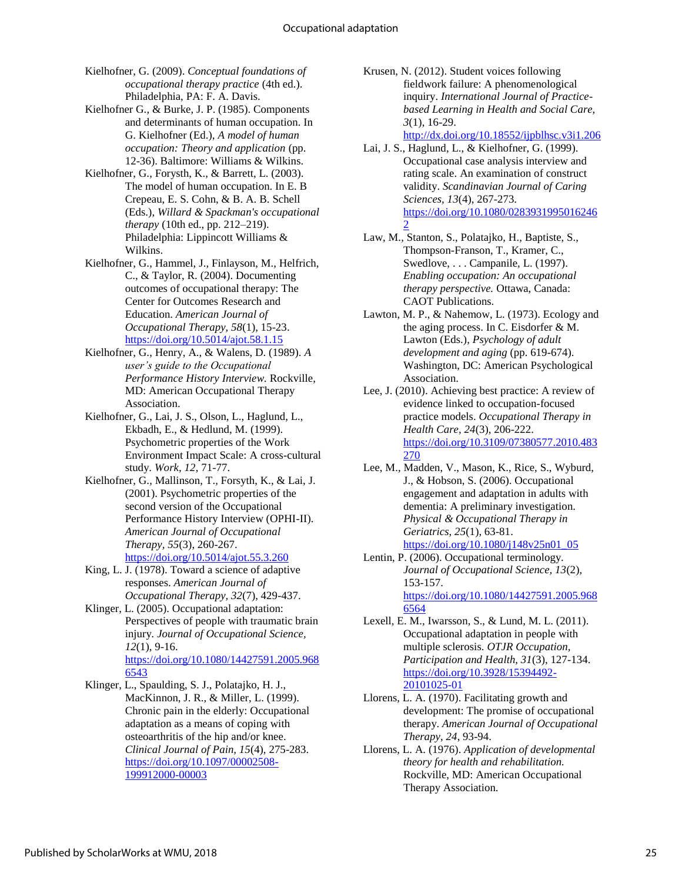- Kielhofner, G. (2009). *Conceptual foundations of occupational therapy practice* (4th ed.). Philadelphia, PA: F. A. Davis.
- Kielhofner G., & Burke, J. P. (1985). Components and determinants of human occupation. In G. Kielhofner (Ed.), *A model of human occupation: Theory and application* (pp. 12-36). Baltimore: Williams & Wilkins.
- Kielhofner, G., Forysth, K., & Barrett, L. (2003). The model of human occupation. In E. B Crepeau, E. S. Cohn, & B. A. B. Schell (Eds.), *Willard & Spackman's occupational therapy* (10th ed., pp. 212–219). Philadelphia: Lippincott Williams & Wilkins.
- Kielhofner, G., Hammel, J., Finlayson, M., Helfrich, C., & Taylor, R. (2004). Documenting outcomes of occupational therapy: The Center for Outcomes Research and Education. *American Journal of Occupational Therapy, 58*(1), 15-23. <https://doi.org/10.5014/ajot.58.1.15>
- Kielhofner, G., Henry, A., & Walens, D. (1989). *A user's guide to the Occupational Performance History Interview.* Rockville, MD: American Occupational Therapy Association.
- Kielhofner, G., Lai, J. S., Olson, L., Haglund, L., Ekbadh, E., & Hedlund, M. (1999). Psychometric properties of the Work Environment Impact Scale: A cross-cultural study. *Work, 12*, 71-77.
- Kielhofner, G., Mallinson, T., Forsyth, K., & Lai, J. (2001). Psychometric properties of the second version of the Occupational Performance History Interview (OPHI-II). *American Journal of Occupational Therapy, 55*(3), 260-267. <https://doi.org/10.5014/ajot.55.3.260>
- King, L. J. (1978). Toward a science of adaptive responses. *American Journal of Occupational Therapy, 32*(7), 429-437.
- Klinger, L. (2005). Occupational adaptation: Perspectives of people with traumatic brain injury*. Journal of Occupational Science, 12*(1), 9-16. [https://doi.org/10.1080/14427591.2005.968](https://doi.org/10.1080/14427591.2005.9686543) [6543](https://doi.org/10.1080/14427591.2005.9686543)
- Klinger, L., Spaulding, S. J., Polatajko, H. J., MacKinnon, J. R., & Miller, L. (1999). Chronic pain in the elderly: Occupational adaptation as a means of coping with osteoarthritis of the hip and/or knee. *Clinical Journal of Pain, 15*(4), 275-283. [https://doi.org/10.1097/00002508-](https://doi.org/10.1097/00002508-199912000-00003) [199912000-00003](https://doi.org/10.1097/00002508-199912000-00003)

Krusen, N. (2012). Student voices following fieldwork failure: A phenomenological inquiry. *International Journal of Practicebased Learning in Health and Social Care, 3*(1), 16-29.

<http://dx.doi.org/10.18552/ijpblhsc.v3i1.206>

- Lai, J. S., Haglund, L., & Kielhofner, G. (1999). Occupational case analysis interview and rating scale. An examination of construct validity. *Scandinavian Journal of Caring Sciences, 13*(4), 267-273. [https://doi.org/10.1080/0283931995016246](https://doi.org/10.1080/02839319950162462) [2](https://doi.org/10.1080/02839319950162462)
- Law, M., Stanton, S., Polatajko, H., Baptiste, S., Thompson-Franson, T., Kramer, C., Swedlove, . . . Campanile, L. (1997). *Enabling occupation: An occupational therapy perspective.* Ottawa, Canada: CAOT Publications.
- Lawton, M. P., & Nahemow, L. (1973). Ecology and the aging process. In C. Eisdorfer & M. Lawton (Eds.), *Psychology of adult development and aging* (pp. 619-674). Washington, DC: American Psychological Association.
- Lee, J. (2010). Achieving best practice: A review of evidence linked to occupation-focused practice models. *Occupational Therapy in Health Care, 24*(3), 206-222. [https://doi.org/10.3109/07380577.2010.483](https://doi.org/10.3109/07380577.2010.483270) [270](https://doi.org/10.3109/07380577.2010.483270)
- Lee, M., Madden, V., Mason, K., Rice, S., Wyburd, J., & Hobson, S. (2006). Occupational engagement and adaptation in adults with dementia: A preliminary investigation. *Physical & Occupational Therapy in Geriatrics, 25*(1), 63-81. [https://doi.org/10.1080/j148v25n01\\_05](https://doi.org/10.1080/j148v25n01_05)
- Lentin, P. (2006). Occupational terminology. *Journal of Occupational Science, 13*(2), 153-157. [https://doi.org/10.1080/14427591.2005.968](https://doi.org/10.1080/14427591.2005.9686564) [6564](https://doi.org/10.1080/14427591.2005.9686564)
- Lexell, E. M., Iwarsson, S., & Lund, M. L. (2011). Occupational adaptation in people with multiple sclerosis. *OTJR Occupation, Participation and Health, 31*(3), 127-134. [https://doi.org/10.3928/15394492-](https://doi.org/10.3928/15394492-20101025-01) [20101025-01](https://doi.org/10.3928/15394492-20101025-01)
- Llorens, L. A. (1970). Facilitating growth and development: The promise of occupational therapy. *American Journal of Occupational Therapy, 24*, 93-94.
- Llorens, L. A. (1976). *Application of developmental theory for health and rehabilitation.* Rockville, MD: American Occupational Therapy Association.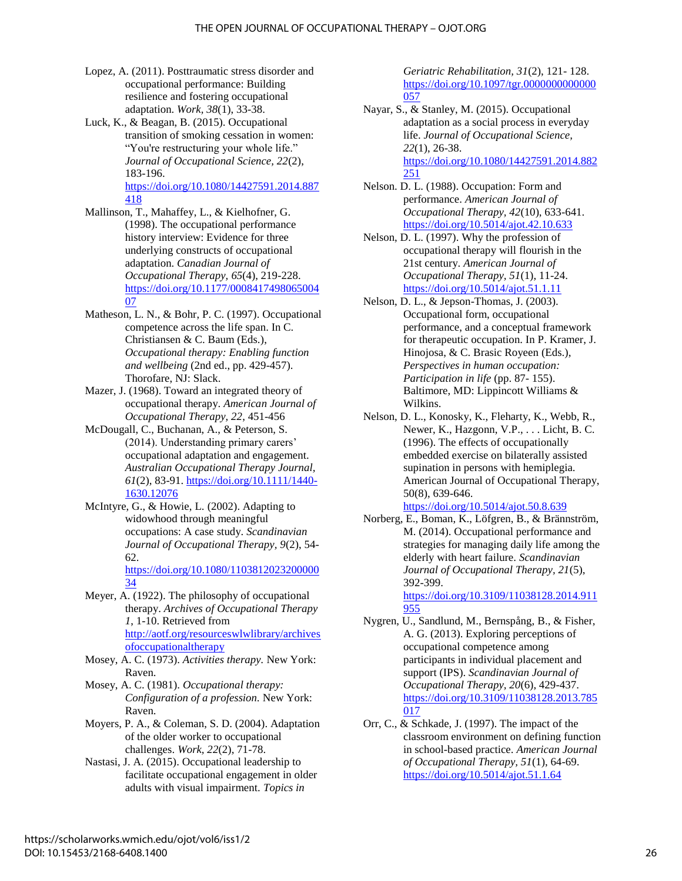- Lopez, A. (2011). Posttraumatic stress disorder and occupational performance: Building resilience and fostering occupational adaptation. *Work, 38*(1), 33-38.
- Luck, K., & Beagan, B. (2015). Occupational transition of smoking cessation in women: "You're restructuring your whole life." *Journal of Occupational Science, 22*(2), 183-196. [https://doi.org/10.1080/14427591.2014.887](https://doi.org/10.1080/14427591.2014.887418)

[418](https://doi.org/10.1080/14427591.2014.887418)

- Mallinson, T., Mahaffey, L., & Kielhofner, G. (1998). The occupational performance history interview: Evidence for three underlying constructs of occupational adaptation. *Canadian Journal of Occupational Therapy, 65*(4), 219-228. [https://doi.org/10.1177/0008417498065004](https://doi.org/10.1177/000841749806500407) [07](https://doi.org/10.1177/000841749806500407)
- Matheson, L. N., & Bohr, P. C. (1997). Occupational competence across the life span. In C. Christiansen & C. Baum (Eds.), *Occupational therapy: Enabling function and wellbeing* (2nd ed., pp. 429-457). Thorofare, NJ: Slack.
- Mazer, J. (1968). Toward an integrated theory of occupational therapy. *American Journal of Occupational Therapy, 22*, 451-456
- McDougall, C., Buchanan, A., & Peterson, S. (2014). Understanding primary carers' occupational adaptation and engagement. *Australian Occupational Therapy Journal, 61*(2), 83-91. [https://doi.org/10.1111/1440-](https://doi.org/10.1111/1440-1630.12076) [1630.12076](https://doi.org/10.1111/1440-1630.12076)
- McIntyre, G., & Howie, L. (2002). Adapting to widowhood through meaningful occupations: A case study. *Scandinavian Journal of Occupational Therapy, 9*(2), 54- 62.

[https://doi.org/10.1080/1103812023200000](https://doi.org/10.1080/110381202320000034) [34](https://doi.org/10.1080/110381202320000034)

Meyer, A. (1922). The philosophy of occupational therapy. *Archives of Occupational Therapy 1*, 1-10. Retrieved from [http://aotf.org/resourceswlwlibrary/archives](http://aotf.org/resourceswlwlibrary/archivesofoccupationaltherapy) [ofoccupationaltherapy](http://aotf.org/resourceswlwlibrary/archivesofoccupationaltherapy)

Mosey, A. C. (1973). *Activities therapy.* New York: Raven.

Mosey, A. C. (1981). *Occupational therapy: Configuration of a profession.* New York: Raven.

- Moyers, P. A., & Coleman, S. D. (2004). Adaptation of the older worker to occupational challenges. *Work, 22*(2), 71-78.
- Nastasi, J. A. (2015). Occupational leadership to facilitate occupational engagement in older adults with visual impairment. *Topics in*

*Geriatric Rehabilitation, 31*(2), 121- 128. [https://doi.org/10.1097/tgr.0000000000000](https://doi.org/10.1097/tgr.0000000000000057) [057](https://doi.org/10.1097/tgr.0000000000000057)

Nayar, S., & Stanley, M. (2015). Occupational adaptation as a social process in everyday life. *Journal of Occupational Science, 22*(1), 26-38. [https://doi.org/10.1080/14427591.2014.882](https://doi.org/10.1080/14427591.2014.882251) [251](https://doi.org/10.1080/14427591.2014.882251)

Nelson. D. L. (1988). Occupation: Form and performance. *American Journal of Occupational Therapy, 42*(10), 633-641. <https://doi.org/10.5014/ajot.42.10.633>

- Nelson, D. L. (1997). Why the profession of occupational therapy will flourish in the 21st century. *American Journal of Occupational Therapy, 51*(1), 11-24. <https://doi.org/10.5014/ajot.51.1.11>
- Nelson, D. L., & Jepson-Thomas, J. (2003). Occupational form, occupational performance, and a conceptual framework for therapeutic occupation. In P. Kramer, J. Hinojosa, & C. Brasic Royeen (Eds.), *Perspectives in human occupation: Participation in life* (pp. 87- 155). Baltimore, MD: Lippincott Williams & Wilkins.
- Nelson, D. L., Konosky, K., Fleharty, K., Webb, R., Newer, K., Hazgonn, V.P., . . . Licht, B. C. (1996). The effects of occupationally embedded exercise on bilaterally assisted supination in persons with hemiplegia. American Journal of Occupational Therapy, 50(8), 639-646. <https://doi.org/10.5014/ajot.50.8.639>
- Norberg, E., Boman, K., Löfgren, B., & Brännström, M. (2014). Occupational performance and strategies for managing daily life among the elderly with heart failure. *Scandinavian Journal of Occupational Therapy, 21*(5), 392-399.

[https://doi.org/10.3109/11038128.2014.911](https://doi.org/10.3109/11038128.2014.911955) [955](https://doi.org/10.3109/11038128.2014.911955)

- Nygren, U., Sandlund, M., Bernspång, B., & Fisher, A. G. (2013). Exploring perceptions of occupational competence among participants in individual placement and support (IPS). *Scandinavian Journal of Occupational Therapy, 20*(6), 429-437. [https://doi.org/10.3109/11038128.2013.785](https://doi.org/10.3109/11038128.2013.785017)  $017$
- Orr, C., & Schkade, J. (1997). The impact of the classroom environment on defining function in school-based practice. *American Journal of Occupational Therapy, 51*(1), 64-69. <https://doi.org/10.5014/ajot.51.1.64>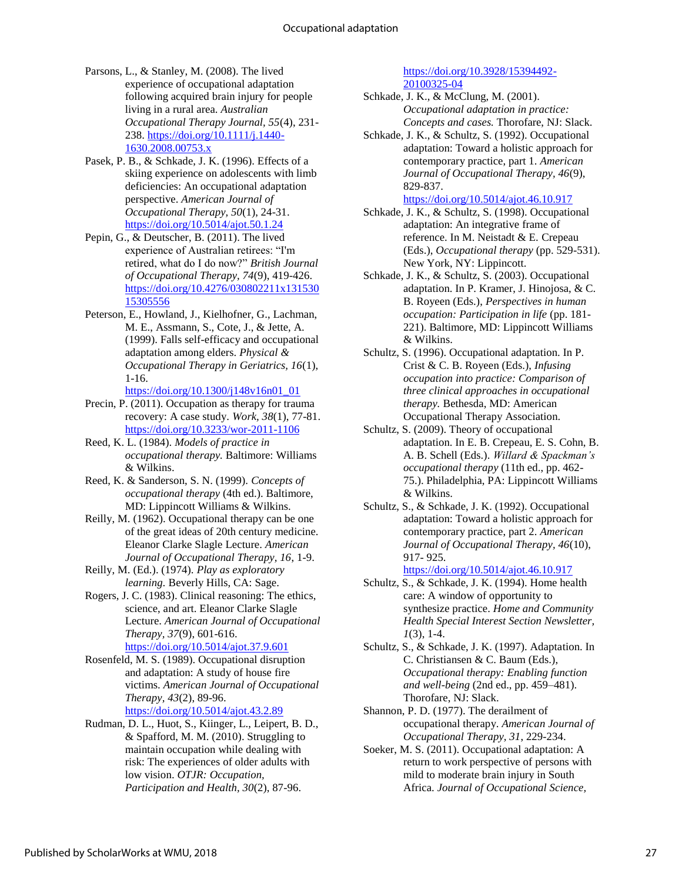- Parsons, L., & Stanley, M. (2008). The lived experience of occupational adaptation following acquired brain injury for people living in a rural area. *Australian Occupational Therapy Journal, 55*(4), 231- 238. [https://doi.org/10.1111/j.1440-](https://doi.org/10.1111/j.1440-1630.2008.00753.x) [1630.2008.00753.x](https://doi.org/10.1111/j.1440-1630.2008.00753.x)
- Pasek, P. B., & Schkade, J. K. (1996). Effects of a skiing experience on adolescents with limb deficiencies: An occupational adaptation perspective. *American Journal of Occupational Therapy, 50*(1), 24-31. <https://doi.org/10.5014/ajot.50.1.24>
- Pepin, G., & Deutscher, B. (2011). The lived experience of Australian retirees: "I'm retired, what do I do now?" *British Journal of Occupational Therapy, 74*(9), 419-426. [https://doi.org/10.4276/030802211x131530](https://doi.org/10.4276/030802211x13153015305556) [15305556](https://doi.org/10.4276/030802211x13153015305556)
- Peterson, E., Howland, J., Kielhofner, G., Lachman, M. E., Assmann, S., Cote, J., & Jette, A. (1999). Falls self-efficacy and occupational adaptation among elders. *Physical & Occupational Therapy in Geriatrics, 16*(1), 1-16.

[https://doi.org/10.1300/j148v16n01\\_01](https://doi.org/10.1300/j148v16n01_01)

- Precin, P. (2011). Occupation as therapy for trauma recovery: A case study. *Work, 38*(1), 77-81. <https://doi.org/10.3233/wor-2011-1106>
- Reed, K. L. (1984). *Models of practice in occupational therapy.* Baltimore: Williams & Wilkins.
- Reed, K. & Sanderson, S. N. (1999). *Concepts of occupational therapy* (4th ed.). Baltimore, MD: Lippincott Williams & Wilkins.
- Reilly, M. (1962). Occupational therapy can be one of the great ideas of 20th century medicine. Eleanor Clarke Slagle Lecture. *American Journal of Occupational Therapy, 16*, 1-9.
- Reilly, M. (Ed.). (1974). *Play as exploratory learning.* Beverly Hills, CA: Sage.
- Rogers, J. C. (1983). Clinical reasoning: The ethics, science, and art. Eleanor Clarke Slagle Lecture. *American Journal of Occupational Therapy, 37*(9), 601-616. <https://doi.org/10.5014/ajot.37.9.601>
- Rosenfeld, M. S. (1989). Occupational disruption and adaptation: A study of house fire victims. *American Journal of Occupational Therapy, 43*(2), 89-96. <https://doi.org/10.5014/ajot.43.2.89>
- Rudman, D. L., Huot, S., Kiinger, L., Leipert, B. D., & Spafford, M. M. (2010). Struggling to maintain occupation while dealing with risk: The experiences of older adults with low vision. *OTJR: Occupation, Participation and Health, 30*(2), 87-96.

#### [https://doi.org/10.3928/15394492-](https://doi.org/10.3928/15394492-20100325-04) [20100325-04](https://doi.org/10.3928/15394492-20100325-04)

- Schkade, J. K., & McClung, M. (2001). *Occupational adaptation in practice: Concepts and cases.* Thorofare, NJ: Slack.
- Schkade, J. K., & Schultz, S. (1992). Occupational adaptation: Toward a holistic approach for contemporary practice, part 1. *American Journal of Occupational Therapy, 46*(9), 829-837. <https://doi.org/10.5014/ajot.46.10.917>
- Schkade, J. K., & Schultz, S. (1998). Occupational adaptation: An integrative frame of reference. In M. Neistadt & E. Crepeau (Eds.), *Occupational therapy* (pp. 529-531). New York, NY: Lippincott.
- Schkade, J. K., & Schultz, S. (2003). Occupational adaptation. In P. Kramer, J. Hinojosa, & C. B. Royeen (Eds.), *Perspectives in human occupation: Participation in life* (pp. 181- 221). Baltimore, MD: Lippincott Williams & Wilkins.
- Schultz, S. (1996). Occupational adaptation. In P. Crist & C. B. Royeen (Eds.), *Infusing occupation into practice: Comparison of three clinical approaches in occupational therapy.* Bethesda, MD: American Occupational Therapy Association.
- Schultz, S. (2009). Theory of occupational adaptation. In E. B. Crepeau, E. S. Cohn, B. A. B. Schell (Eds.). *Willard & Spackman's occupational therapy* (11th ed., pp. 462- 75.). Philadelphia, PA: Lippincott Williams & Wilkins.
- Schultz, S., & Schkade, J. K. (1992). Occupational adaptation: Toward a holistic approach for contemporary practice, part 2. *American Journal of Occupational Therapy, 46*(10), 917- 925.

<https://doi.org/10.5014/ajot.46.10.917>

- Schultz, S., & Schkade, J. K. (1994). Home health care: A window of opportunity to synthesize practice. *Home and Community Health Special Interest Section Newsletter, 1*(3), 1-4.
- Schultz, S., & Schkade, J. K. (1997). Adaptation. In C. Christiansen & C. Baum (Eds.), *Occupational therapy: Enabling function and well-being* (2nd ed., pp. 459–481). Thorofare, NJ: Slack.
- Shannon, P. D. (1977). The derailment of occupational therapy. *American Journal of Occupational Therapy, 31*, 229-234.
- Soeker, M. S. (2011). Occupational adaptation: A return to work perspective of persons with mild to moderate brain injury in South Africa. *Journal of Occupational Science,*